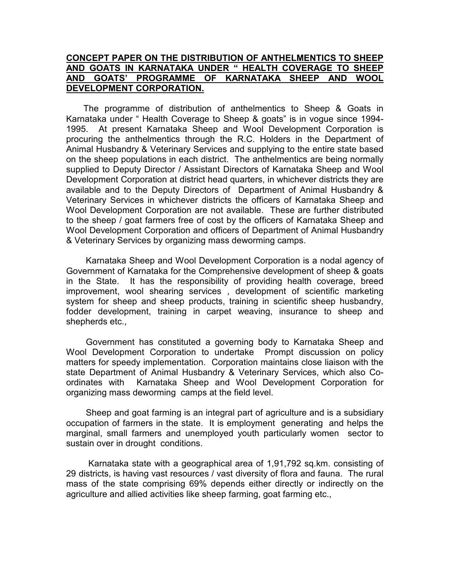#### **CONCEPT PAPER ON THE DISTRIBUTION OF ANTHELMENTICS TO SHEEP AND GOATS IN KARNATAKA UNDER " HEALTH COVERAGE TO SHEEP AND GOATS' PROGRAMME OF KARNATAKA SHEEP AND WOOL DEVELOPMENT CORPORATION.**

 The programme of distribution of anthelmentics to Sheep & Goats in Karnataka under " Health Coverage to Sheep & goats" is in vogue since 1994- 1995. At present Karnataka Sheep and Wool Development Corporation is procuring the anthelmentics through the R.C. Holders in the Department of Animal Husbandry & Veterinary Services and supplying to the entire state based on the sheep populations in each district. The anthelmentics are being normally supplied to Deputy Director / Assistant Directors of Karnataka Sheep and Wool Development Corporation at district head quarters, in whichever districts they are available and to the Deputy Directors of Department of Animal Husbandry & Veterinary Services in whichever districts the officers of Karnataka Sheep and Wool Development Corporation are not available. These are further distributed to the sheep / goat farmers free of cost by the officers of Karnataka Sheep and Wool Development Corporation and officers of Department of Animal Husbandry & Veterinary Services by organizing mass deworming camps.

 Karnataka Sheep and Wool Development Corporation is a nodal agency of Government of Karnataka for the Comprehensive development of sheep & goats in the State. It has the responsibility of providing health coverage, breed improvement, wool shearing services , development of scientific marketing system for sheep and sheep products, training in scientific sheep husbandry, fodder development, training in carpet weaving, insurance to sheep and shepherds etc.,

 Government has constituted a governing body to Karnataka Sheep and Wool Development Corporation to undertake Prompt discussion on policy matters for speedy implementation. Corporation maintains close liaison with the state Department of Animal Husbandry & Veterinary Services, which also Coordinates with Karnataka Sheep and Wool Development Corporation for organizing mass deworming camps at the field level.

 Sheep and goat farming is an integral part of agriculture and is a subsidiary occupation of farmers in the state. It is employment generating and helps the marginal, small farmers and unemployed youth particularly women sector to sustain over in drought conditions.

 Karnataka state with a geographical area of 1,91,792 sq.km. consisting of 29 districts, is having vast resources / vast diversity of flora and fauna. The rural mass of the state comprising 69% depends either directly or indirectly on the agriculture and allied activities like sheep farming, goat farming etc.,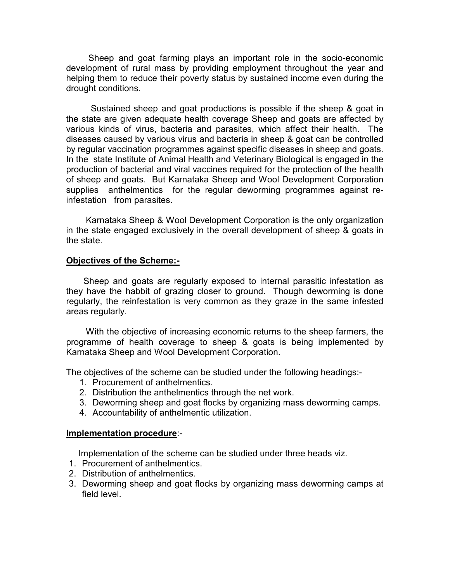Sheep and goat farming plays an important role in the socio-economic development of rural mass by providing employment throughout the year and helping them to reduce their poverty status by sustained income even during the drought conditions.

 Sustained sheep and goat productions is possible if the sheep & goat in the state are given adequate health coverage Sheep and goats are affected by various kinds of virus, bacteria and parasites, which affect their health. The diseases caused by various virus and bacteria in sheep & goat can be controlled by regular vaccination programmes against specific diseases in sheep and goats. In the state Institute of Animal Health and Veterinary Biological is engaged in the production of bacterial and viral vaccines required for the protection of the health of sheep and goats. But Karnataka Sheep and Wool Development Corporation supplies anthelmentics for the regular deworming programmes against reinfestation from parasites.

 Karnataka Sheep & Wool Development Corporation is the only organization in the state engaged exclusively in the overall development of sheep & goats in the state.

#### **Objectives of the Scheme:-**

 Sheep and goats are regularly exposed to internal parasitic infestation as they have the habbit of grazing closer to ground. Though deworming is done regularly, the reinfestation is very common as they graze in the same infested areas regularly.

 With the objective of increasing economic returns to the sheep farmers, the programme of health coverage to sheep & goats is being implemented by Karnataka Sheep and Wool Development Corporation.

The objectives of the scheme can be studied under the following headings:-

- 1. Procurement of anthelmentics.
- 2. Distribution the anthelmentics through the net work.
- 3. Deworming sheep and goat flocks by organizing mass deworming camps.
- 4. Accountability of anthelmentic utilization.

#### **Implementation procedure**:-

Implementation of the scheme can be studied under three heads viz.

- 1. Procurement of anthelmentics.
- 2. Distribution of anthelmentics.
- 3. Deworming sheep and goat flocks by organizing mass deworming camps at field level.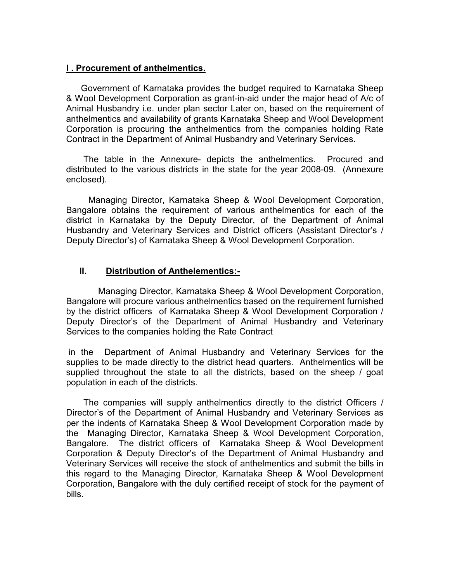# **I . Procurement of anthelmentics.**

 Government of Karnataka provides the budget required to Karnataka Sheep & Wool Development Corporation as grant-in-aid under the major head of A/c of Animal Husbandry i.e. under plan sector Later on, based on the requirement of anthelmentics and availability of grants Karnataka Sheep and Wool Development Corporation is procuring the anthelmentics from the companies holding Rate Contract in the Department of Animal Husbandry and Veterinary Services.

 The table in the Annexure- depicts the anthelmentics. Procured and distributed to the various districts in the state for the year 2008-09. (Annexure enclosed).

 Managing Director, Karnataka Sheep & Wool Development Corporation, Bangalore obtains the requirement of various anthelmentics for each of the district in Karnataka by the Deputy Director, of the Department of Animal Husbandry and Veterinary Services and District officers (Assistant Director's / Deputy Director's) of Karnataka Sheep & Wool Development Corporation.

# **II. Distribution of Anthelementics:-**

Managing Director, Karnataka Sheep & Wool Development Corporation, Bangalore will procure various anthelmentics based on the requirement furnished by the district officers of Karnataka Sheep & Wool Development Corporation / Deputy Director's of the Department of Animal Husbandry and Veterinary Services to the companies holding the Rate Contract

 in the Department of Animal Husbandry and Veterinary Services for the supplies to be made directly to the district head quarters. Anthelmentics will be supplied throughout the state to all the districts, based on the sheep / goat population in each of the districts.

 The companies will supply anthelmentics directly to the district Officers / Director's of the Department of Animal Husbandry and Veterinary Services as per the indents of Karnataka Sheep & Wool Development Corporation made by the Managing Director, Karnataka Sheep & Wool Development Corporation, Bangalore. The district officers of Karnataka Sheep & Wool Development Corporation & Deputy Director's of the Department of Animal Husbandry and Veterinary Services will receive the stock of anthelmentics and submit the bills in this regard to the Managing Director, Karnataka Sheep & Wool Development Corporation, Bangalore with the duly certified receipt of stock for the payment of bills.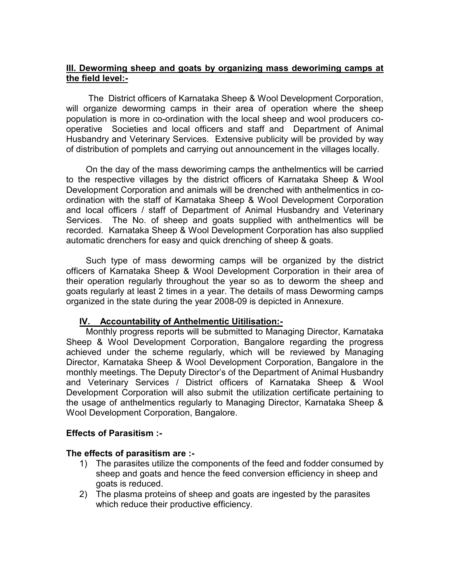# **III. Deworming sheep and goats by organizing mass deworiming camps at the field level:-**

 The District officers of Karnataka Sheep & Wool Development Corporation, will organize deworming camps in their area of operation where the sheep population is more in co-ordination with the local sheep and wool producers cooperative Societies and local officers and staff and Department of Animal Husbandry and Veterinary Services. Extensive publicity will be provided by way of distribution of pomplets and carrying out announcement in the villages locally.

 On the day of the mass deworiming camps the anthelmentics will be carried to the respective villages by the district officers of Karnataka Sheep & Wool Development Corporation and animals will be drenched with anthelmentics in coordination with the staff of Karnataka Sheep & Wool Development Corporation and local officers / staff of Department of Animal Husbandry and Veterinary Services. The No. of sheep and goats supplied with anthelmentics will be recorded. Karnataka Sheep & Wool Development Corporation has also supplied automatic drenchers for easy and quick drenching of sheep & goats.

 Such type of mass deworming camps will be organized by the district officers of Karnataka Sheep & Wool Development Corporation in their area of their operation regularly throughout the year so as to deworm the sheep and goats regularly at least 2 times in a year. The details of mass Deworming camps organized in the state during the year 2008-09 is depicted in Annexure.

# **IV. Accountability of Anthelmentic Uitilisation:-**

 Monthly progress reports will be submitted to Managing Director, Karnataka Sheep & Wool Development Corporation, Bangalore regarding the progress achieved under the scheme regularly, which will be reviewed by Managing Director, Karnataka Sheep & Wool Development Corporation, Bangalore in the monthly meetings. The Deputy Director's of the Department of Animal Husbandry and Veterinary Services / District officers of Karnataka Sheep & Wool Development Corporation will also submit the utilization certificate pertaining to the usage of anthelmentics regularly to Managing Director, Karnataka Sheep & Wool Development Corporation, Bangalore.

# **Effects of Parasitism :-**

# **The effects of parasitism are :-**

- 1) The parasites utilize the components of the feed and fodder consumed by sheep and goats and hence the feed conversion efficiency in sheep and goats is reduced.
- 2) The plasma proteins of sheep and goats are ingested by the parasites which reduce their productive efficiency.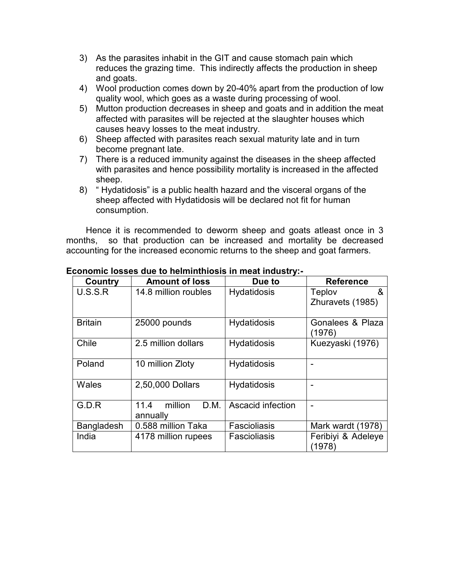- 3) As the parasites inhabit in the GIT and cause stomach pain which reduces the grazing time. This indirectly affects the production in sheep and goats.
- 4) Wool production comes down by 20-40% apart from the production of low quality wool, which goes as a waste during processing of wool.
- 5) Mutton production decreases in sheep and goats and in addition the meat affected with parasites will be rejected at the slaughter houses which causes heavy losses to the meat industry.
- 6) Sheep affected with parasites reach sexual maturity late and in turn become pregnant late.
- 7) There is a reduced immunity against the diseases in the sheep affected with parasites and hence possibility mortality is increased in the affected sheep.
- 8) " Hydatidosis" is a public health hazard and the visceral organs of the sheep affected with Hydatidosis will be declared not fit for human consumption.

 Hence it is recommended to deworm sheep and goats atleast once in 3 months, so that production can be increased and mortality be decreased accounting for the increased economic returns to the sheep and goat farmers.

| Country        | <b>Amount of loss</b>               | Due to             | <b>Reference</b>                |
|----------------|-------------------------------------|--------------------|---------------------------------|
| U.S.S.R        | 14.8 million roubles                | Hydatidosis        | &<br>Teplov<br>Zhuravets (1985) |
| <b>Britain</b> | 25000 pounds                        | <b>Hydatidosis</b> | Gonalees & Plaza<br>(1976)      |
| Chile          | 2.5 million dollars                 | <b>Hydatidosis</b> | Kuezyaski (1976)                |
| Poland         | 10 million Zloty                    | <b>Hydatidosis</b> |                                 |
| Wales          | 2,50,000 Dollars                    | <b>Hydatidosis</b> |                                 |
| G.D.R          | 11.4<br>million<br>D.M.<br>annually | Ascacid infection  |                                 |
| Bangladesh     | 0.588 million Taka                  | Fascioliasis       | Mark wardt (1978)               |
| India          | 4178 million rupees                 | Fascioliasis       | Feribiyi & Adeleye<br>(1978)    |

#### **Economic losses due to helminthiosis in meat industry:-**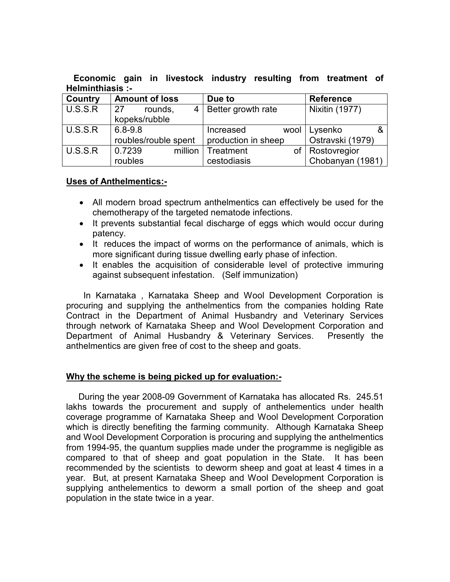**Economic gain in livestock industry resulting from treatment of Helminthiasis :-** 

| <b>Country</b> | <b>Amount of loss</b> | Due to              | <b>Reference</b>      |
|----------------|-----------------------|---------------------|-----------------------|
| U.S.S.R        | -27<br>rounds,<br>4 I | Better growth rate  | <b>Nixitin (1977)</b> |
|                | kopeks/rubble         |                     |                       |
| U.S.S.R        | $6.8 - 9.8$           | Increased<br>wool   | Lysenko               |
|                | roubles/rouble spent  | production in sheep | Ostravski (1979)      |
| U.S.S.R        | 0.7239<br>million     | Treatment<br>οf     | Rostovregior          |
|                | roubles               | cestodiasis         | Chobanyan (1981)      |

# **Uses of Anthelmentics:-**

- All modern broad spectrum anthelmentics can effectively be used for the chemotherapy of the targeted nematode infections.
- It prevents substantial fecal discharge of eggs which would occur during patency.
- It reduces the impact of worms on the performance of animals, which is more significant during tissue dwelling early phase of infection.
- It enables the acquisition of considerable level of protective immuring against subsequent infestation. (Self immunization)

 In Karnataka , Karnataka Sheep and Wool Development Corporation is procuring and supplying the anthelmentics from the companies holding Rate Contract in the Department of Animal Husbandry and Veterinary Services through network of Karnataka Sheep and Wool Development Corporation and Department of Animal Husbandry & Veterinary Services. Presently the anthelmentics are given free of cost to the sheep and goats.

# **Why the scheme is being picked up for evaluation:-**

 During the year 2008-09 Government of Karnataka has allocated Rs. 245.51 lakhs towards the procurement and supply of anthelementics under health coverage programme of Karnataka Sheep and Wool Development Corporation which is directly benefiting the farming community. Although Karnataka Sheep and Wool Development Corporation is procuring and supplying the anthelmentics from 1994-95, the quantum supplies made under the programme is negligible as compared to that of sheep and goat population in the State. It has been recommended by the scientists to deworm sheep and goat at least 4 times in a year. But, at present Karnataka Sheep and Wool Development Corporation is supplying anthelementics to deworm a small portion of the sheep and goat population in the state twice in a year.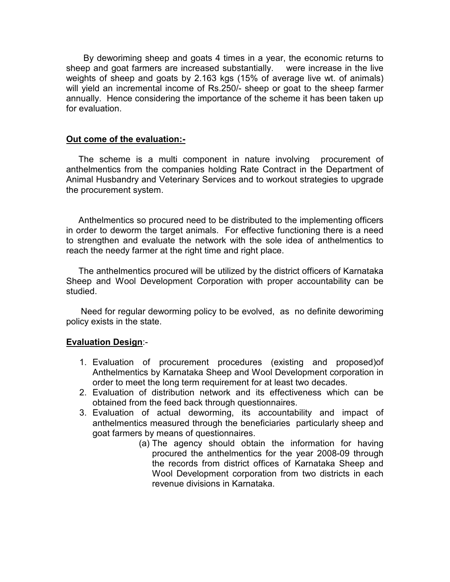By deworiming sheep and goats 4 times in a year, the economic returns to sheep and goat farmers are increased substantially. were increase in the live weights of sheep and goats by 2.163 kgs (15% of average live wt. of animals) will yield an incremental income of Rs.250/- sheep or goat to the sheep farmer annually. Hence considering the importance of the scheme it has been taken up for evaluation.

# **Out come of the evaluation:-**

 The scheme is a multi component in nature involving procurement of anthelmentics from the companies holding Rate Contract in the Department of Animal Husbandry and Veterinary Services and to workout strategies to upgrade the procurement system.

 Anthelmentics so procured need to be distributed to the implementing officers in order to deworm the target animals. For effective functioning there is a need to strengthen and evaluate the network with the sole idea of anthelmentics to reach the needy farmer at the right time and right place.

 The anthelmentics procured will be utilized by the district officers of Karnataka Sheep and Wool Development Corporation with proper accountability can be studied.

 Need for regular deworming policy to be evolved, as no definite deworiming policy exists in the state.

#### **Evaluation Design**:-

- 1. Evaluation of procurement procedures (existing and proposed)of Anthelmentics by Karnataka Sheep and Wool Development corporation in order to meet the long term requirement for at least two decades.
- 2. Evaluation of distribution network and its effectiveness which can be obtained from the feed back through questionnaires.
- 3. Evaluation of actual deworming, its accountability and impact of anthelmentics measured through the beneficiaries particularly sheep and goat farmers by means of questionnaires.
	- (a) The agency should obtain the information for having procured the anthelmentics for the year 2008-09 through the records from district offices of Karnataka Sheep and Wool Development corporation from two districts in each revenue divisions in Karnataka.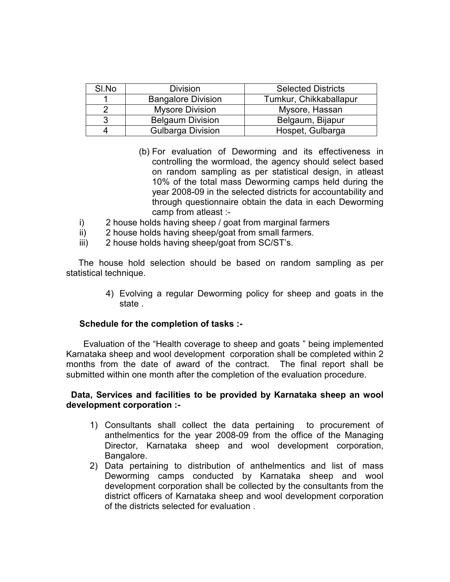| SI.No | <b>Division</b>           | <b>Selected Districts</b> |
|-------|---------------------------|---------------------------|
|       | <b>Bangalore Division</b> | Tumkur, Chikkaballapur    |
|       | <b>Mysore Division</b>    | Mysore, Hassan            |
| 3     | <b>Belgaum Division</b>   | Belgaum, Bijapur          |
|       | <b>Gulbarga Division</b>  | Hospet, Gulbarga          |

- (b) For evaluation of Deworming and its effectiveness in controlling the wormload, the agency should select based on random sampling as per statistical design, in atleast 10% of the total mass Deworming camps held during the year 2008-09 in the selected districts for accountability and through questionnaire obtain the data in each Deworming camp from atleast :-
- i) 2 house holds having sheep / goat from marginal farmers
- ii) 2 house holds having sheep/goat from small farmers.
- iii) 2 house holds having sheep/goat from SC/ST's.

 The house hold selection should be based on random sampling as per statistical technique.

> 4) Evolving a regular Deworming policy for sheep and goats in the state .

#### **Schedule for the completion of tasks :-**

Evaluation of the "Health coverage to sheep and goats " being implemented Karnataka sheep and wool development corporation shall be completed within 2 months from the date of award of the contract. The final report shall be submitted within one month after the completion of the evaluation procedure.

#### **Data, Services and facilities to be provided by Karnataka sheep an wool development corporation :-**

- 1) Consultants shall collect the data pertaining to procurement of anthelmentics for the year 2008-09 from the office of the Managing Director, Karnataka sheep and wool development corporation, Bangalore.
- 2) Data pertaining to distribution of anthelmentics and list of mass Deworming camps conducted by Karnataka sheep and wool development corporation shall be collected by the consultants from the district officers of Karnataka sheep and wool development corporation of the districts selected for evaluation .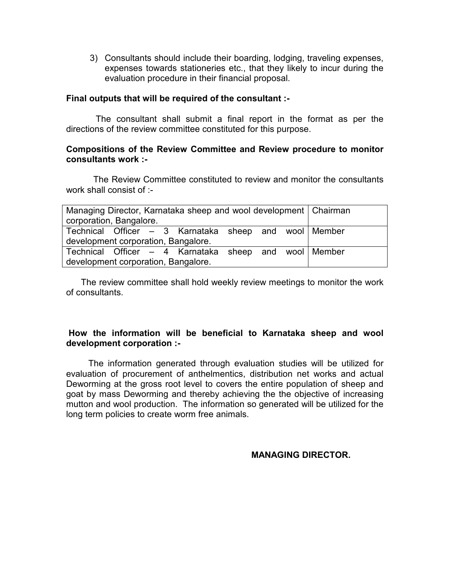3) Consultants should include their boarding, lodging, traveling expenses, expenses towards stationeries etc., that they likely to incur during the evaluation procedure in their financial proposal.

#### **Final outputs that will be required of the consultant :-**

The consultant shall submit a final report in the format as per the directions of the review committee constituted for this purpose.

#### **Compositions of the Review Committee and Review procedure to monitor consultants work :-**

The Review Committee constituted to review and monitor the consultants work shall consist of :-

| Managing Director, Karnataka sheep and wool development   Chairman<br>corporation, Bangalore. |  |
|-----------------------------------------------------------------------------------------------|--|
| Technical Officer – 3 Karnataka sheep and wool Member<br>development corporation, Bangalore.  |  |
| Technical Officer – 4 Karnataka sheep and wool Member<br>development corporation, Bangalore.  |  |

 The review committee shall hold weekly review meetings to monitor the work of consultants.

# **How the information will be beneficial to Karnataka sheep and wool development corporation :-**

The information generated through evaluation studies will be utilized for evaluation of procurement of anthelmentics, distribution net works and actual Deworming at the gross root level to covers the entire population of sheep and goat by mass Deworming and thereby achieving the the objective of increasing mutton and wool production. The information so generated will be utilized for the long term policies to create worm free animals.

# **MANAGING DIRECTOR.**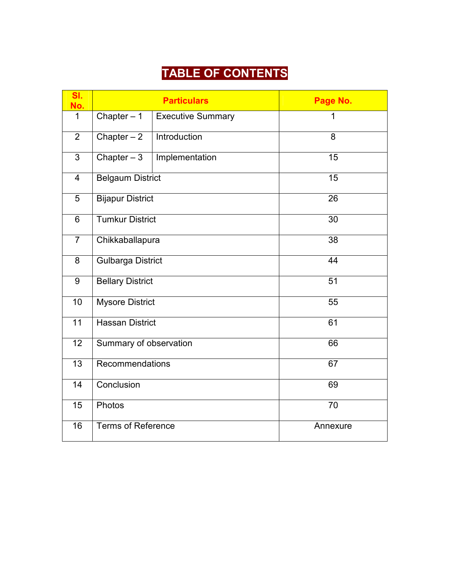# **TABLE OF CONTENTS**

| SI.<br>No.       |                           | <b>Particulars</b>       | Page No. |  |
|------------------|---------------------------|--------------------------|----------|--|
| 1                | Chapter $-1$              | <b>Executive Summary</b> | 1        |  |
| $\overline{2}$   | Chapter $-2$              | Introduction             | 8        |  |
| $\overline{3}$   | Chapter $-3$              | Implementation           | 15       |  |
| $\overline{4}$   | <b>Belgaum District</b>   |                          | 15       |  |
| $\overline{5}$   | <b>Bijapur District</b>   |                          | 26       |  |
| 6                | <b>Tumkur District</b>    |                          | 30       |  |
| $\overline{7}$   | Chikkaballapura           |                          | 38       |  |
| 8                | <b>Gulbarga District</b>  |                          | 44       |  |
| $\boldsymbol{9}$ | <b>Bellary District</b>   |                          | 51       |  |
| 10               | <b>Mysore District</b>    |                          | 55       |  |
| $\overline{11}$  | <b>Hassan District</b>    |                          | 61       |  |
| 12               | Summary of observation    |                          | 66       |  |
| 13               | Recommendations           |                          | 67       |  |
| 14               | Conclusion                |                          | 69       |  |
| 15               | Photos                    |                          | 70       |  |
| 16               | <b>Terms of Reference</b> |                          | Annexure |  |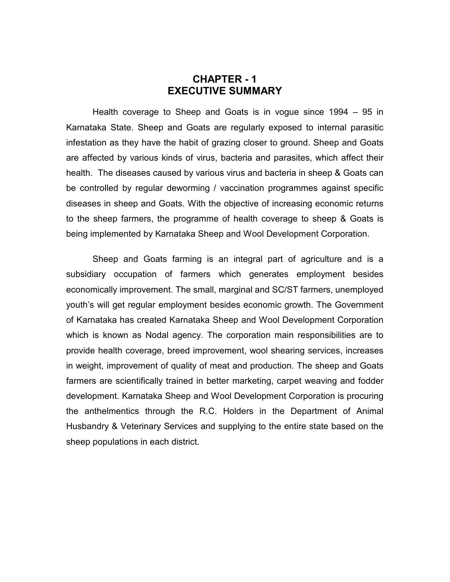# **CHAPTER - 1 EXECUTIVE SUMMARY**

Health coverage to Sheep and Goats is in vogue since 1994 – 95 in Karnataka State. Sheep and Goats are regularly exposed to internal parasitic infestation as they have the habit of grazing closer to ground. Sheep and Goats are affected by various kinds of virus, bacteria and parasites, which affect their health. The diseases caused by various virus and bacteria in sheep & Goats can be controlled by regular deworming / vaccination programmes against specific diseases in sheep and Goats. With the objective of increasing economic returns to the sheep farmers, the programme of health coverage to sheep & Goats is being implemented by Karnataka Sheep and Wool Development Corporation.

Sheep and Goats farming is an integral part of agriculture and is a subsidiary occupation of farmers which generates employment besides economically improvement. The small, marginal and SC/ST farmers, unemployed youth's will get regular employment besides economic growth. The Government of Karnataka has created Karnataka Sheep and Wool Development Corporation which is known as Nodal agency. The corporation main responsibilities are to provide health coverage, breed improvement, wool shearing services, increases in weight, improvement of quality of meat and production. The sheep and Goats farmers are scientifically trained in better marketing, carpet weaving and fodder development. Karnataka Sheep and Wool Development Corporation is procuring the anthelmentics through the R.C. Holders in the Department of Animal Husbandry & Veterinary Services and supplying to the entire state based on the sheep populations in each district.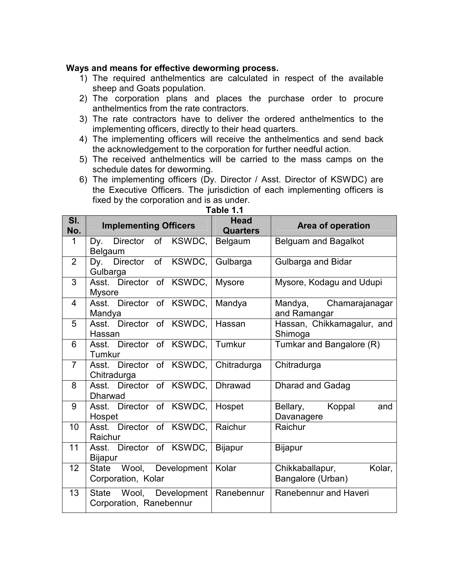#### **Ways and means for effective deworming process.**

- 1) The required anthelmentics are calculated in respect of the available sheep and Goats population.
- 2) The corporation plans and places the purchase order to procure anthelmentics from the rate contractors.
- 3) The rate contractors have to deliver the ordered anthelmentics to the implementing officers, directly to their head quarters.
- 4) The implementing officers will receive the anthelmentics and send back the acknowledgement to the corporation for further needful action.
- 5) The received anthelmentics will be carried to the mass camps on the schedule dates for deworming.
- 6) The implementing officers (Dy. Director / Asst. Director of KSWDC) are the Executive Officers. The jurisdiction of each implementing officers is fixed by the corporation and is as under.

| SI.<br>No.     | <b>Implementing Officers</b>                        | <b>Head</b><br><b>Quarters</b> | Area of operation                              |
|----------------|-----------------------------------------------------|--------------------------------|------------------------------------------------|
| 1              | Director of KSWDC,<br>Dy.<br>Belgaum                | Belgaum                        | Belguam and Bagalkot                           |
| $\overline{2}$ | Dy. Director of KSWDC,<br>Gulbarga                  | Gulbarga                       | Gulbarga and Bidar                             |
| 3              | Asst. Director of KSWDC,<br><b>Mysore</b>           | Mysore                         | Mysore, Kodagu and Udupi                       |
| $\overline{4}$ | Asst. Director of KSWDC,<br>Mandya                  | Mandya                         | Mandya, Chamarajanagar<br>and Ramangar         |
| 5              | Asst. Director of KSWDC,<br>Hassan                  | Hassan                         | Hassan, Chikkamagalur, and<br>Shimoga          |
| 6              | Asst. Director of KSWDC,<br>Tumkur                  | Tumkur                         | Tumkar and Bangalore (R)                       |
| $\overline{7}$ | Asst. Director of KSWDC, Chitradurga<br>Chitradurga |                                | Chitradurga                                    |
| 8              | Asst. Director of KSWDC,<br>Dharwad                 | Dhrawad                        | <b>Dharad and Gadag</b>                        |
| 9              | Asst. Director of KSWDC,<br>Hospet                  | Hospet                         | Koppal<br>Bellary,<br>and<br>Davanagere        |
| 10             | Asst. Director of KSWDC,<br>Raichur                 | Raichur                        | Raichur                                        |
| 11             | Asst. Director of KSWDC,<br><b>Bijapur</b>          | <b>Bijapur</b>                 | <b>Bijapur</b>                                 |
| 12             | State Wool, Development<br>Corporation, Kolar       | Kolar                          | Chikkaballapur,<br>Kolar,<br>Bangalore (Urban) |
| 13             | State Wool, Development<br>Corporation, Ranebennur  | Ranebennur                     | Ranebennur and Haveri                          |

**Table 1.1**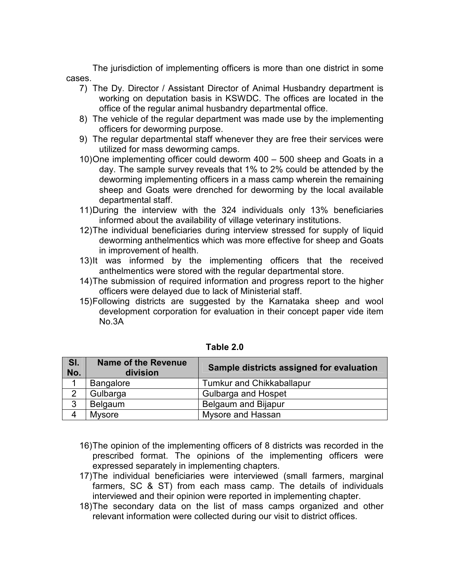The jurisdiction of implementing officers is more than one district in some cases.

- 7) The Dy. Director / Assistant Director of Animal Husbandry department is working on deputation basis in KSWDC. The offices are located in the office of the regular animal husbandry departmental office.
- 8) The vehicle of the regular department was made use by the implementing officers for deworming purpose.
- 9) The regular departmental staff whenever they are free their services were utilized for mass deworming camps.
- 10) One implementing officer could deworm 400 500 sheep and Goats in a day. The sample survey reveals that 1% to 2% could be attended by the deworming implementing officers in a mass camp wherein the remaining sheep and Goats were drenched for deworming by the local available departmental staff.
- 11) During the interview with the 324 individuals only 13% beneficiaries informed about the availability of village veterinary institutions.
- 12) The individual beneficiaries during interview stressed for supply of liquid deworming anthelmentics which was more effective for sheep and Goats in improvement of health.
- 13) It was informed by the implementing officers that the received anthelmentics were stored with the regular departmental store.
- 14) The submission of required information and progress report to the higher officers were delayed due to lack of Ministerial staff.
- 15) Following districts are suggested by the Karnataka sheep and wool development corporation for evaluation in their concept paper vide item No.3A

| SI.<br>No. | <b>Name of the Revenue</b><br>division | Sample districts assigned for evaluation |
|------------|----------------------------------------|------------------------------------------|
|            | <b>Bangalore</b>                       | <b>Tumkur and Chikkaballapur</b>         |
|            | Gulbarga                               | <b>Gulbarga and Hospet</b>               |
| 3          | Belgaum                                | <b>Belgaum and Bijapur</b>               |
| 4          | <b>Mysore</b>                          | Mysore and Hassan                        |

- 16) The opinion of the implementing officers of 8 districts was recorded in the prescribed format. The opinions of the implementing officers were expressed separately in implementing chapters.
- 17) The individual beneficiaries were interviewed (small farmers, marginal farmers, SC & ST) from each mass camp. The details of individuals interviewed and their opinion were reported in implementing chapter.
- 18) The secondary data on the list of mass camps organized and other relevant information were collected during our visit to district offices.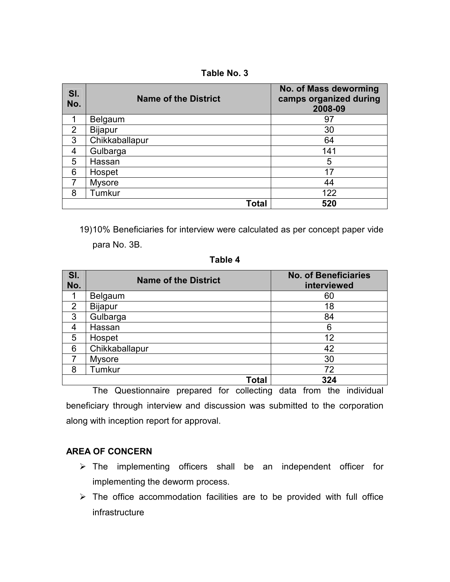**Table No. 3** 

| SI.<br>No. | <b>Name of the District</b> | No. of Mass deworming<br>camps organized during<br>2008-09 |
|------------|-----------------------------|------------------------------------------------------------|
| 1          | Belgaum                     | 97                                                         |
| 2          | <b>Bijapur</b>              | 30                                                         |
| 3          | Chikkaballapur              | 64                                                         |
| 4          | Gulbarga                    | 141                                                        |
| 5          | Hassan                      | 5                                                          |
| 6          | Hospet                      | 17                                                         |
| 7          | <b>Mysore</b>               | 44                                                         |
| 8          | Tumkur                      | 122                                                        |
|            | Total                       | 520                                                        |

19) 10% Beneficiaries for interview were calculated as per concept paper vide para No. 3B.

**Table 4** 

| SI.<br>No. | <b>Name of the District</b> | <b>No. of Beneficiaries</b><br>interviewed |
|------------|-----------------------------|--------------------------------------------|
|            | Belgaum                     | 60                                         |
| 2          | <b>Bijapur</b>              | 18                                         |
| 3          | Gulbarga                    | 84                                         |
| 4          | Hassan                      | 6                                          |
| 5          | Hospet                      | 12                                         |
| 6          | Chikkaballapur              | 42                                         |
| 7          | <b>Mysore</b>               | 30                                         |
| 8          | Tumkur                      | 72                                         |
|            | Total                       | 324                                        |

The Questionnaire prepared for collecting data from the individual beneficiary through interview and discussion was submitted to the corporation along with inception report for approval.

# **AREA OF CONCERN**

- $\triangleright$  The implementing officers shall be an independent officer for implementing the deworm process.
- $\triangleright$  The office accommodation facilities are to be provided with full office infrastructure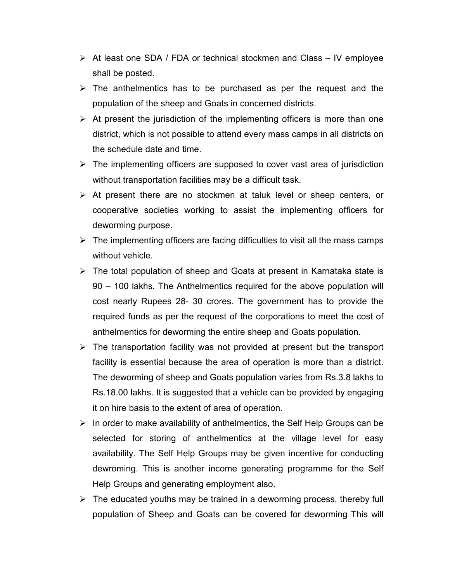- $\triangleright$  At least one SDA / FDA or technical stockmen and Class IV employee shall be posted.
- $\triangleright$  The anthelmentics has to be purchased as per the request and the population of the sheep and Goats in concerned districts.
- $\triangleright$  At present the jurisdiction of the implementing officers is more than one district, which is not possible to attend every mass camps in all districts on the schedule date and time.
- $\triangleright$  The implementing officers are supposed to cover vast area of jurisdiction without transportation facilities may be a difficult task.
- $\triangleright$  At present there are no stockmen at taluk level or sheep centers, or cooperative societies working to assist the implementing officers for deworming purpose.
- $\triangleright$  The implementing officers are facing difficulties to visit all the mass camps without vehicle.
- $\triangleright$  The total population of sheep and Goats at present in Karnataka state is 90 – 100 lakhs. The Anthelmentics required for the above population will cost nearly Rupees 28- 30 crores. The government has to provide the required funds as per the request of the corporations to meet the cost of anthelmentics for deworming the entire sheep and Goats population.
- $\triangleright$  The transportation facility was not provided at present but the transport facility is essential because the area of operation is more than a district. The deworming of sheep and Goats population varies from Rs.3.8 lakhs to Rs.18.00 lakhs. It is suggested that a vehicle can be provided by engaging it on hire basis to the extent of area of operation.
- $\triangleright$  In order to make availability of anthelmentics, the Self Help Groups can be selected for storing of anthelmentics at the village level for easy availability. The Self Help Groups may be given incentive for conducting dewroming. This is another income generating programme for the Self Help Groups and generating employment also.
- $\triangleright$  The educated youths may be trained in a deworming process, thereby full population of Sheep and Goats can be covered for deworming This will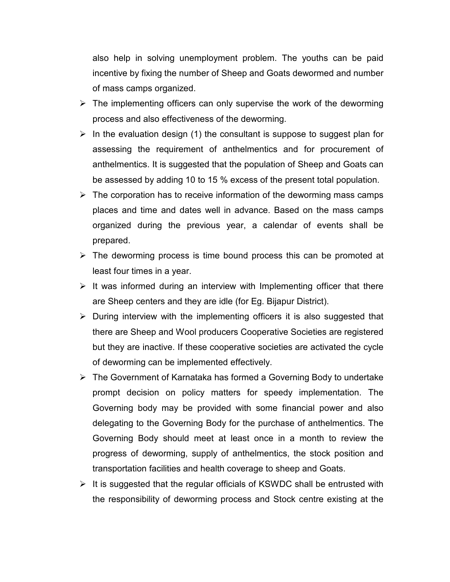also help in solving unemployment problem. The youths can be paid incentive by fixing the number of Sheep and Goats dewormed and number of mass camps organized.

- $\triangleright$  The implementing officers can only supervise the work of the deworming process and also effectiveness of the deworming.
- $\triangleright$  In the evaluation design (1) the consultant is suppose to suggest plan for assessing the requirement of anthelmentics and for procurement of anthelmentics. It is suggested that the population of Sheep and Goats can be assessed by adding 10 to 15 % excess of the present total population.
- $\triangleright$  The corporation has to receive information of the deworming mass camps places and time and dates well in advance. Based on the mass camps organized during the previous year, a calendar of events shall be prepared.
- $\triangleright$  The deworming process is time bound process this can be promoted at least four times in a year.
- $\triangleright$  It was informed during an interview with Implementing officer that there are Sheep centers and they are idle (for Eg. Bijapur District).
- $\triangleright$  During interview with the implementing officers it is also suggested that there are Sheep and Wool producers Cooperative Societies are registered but they are inactive. If these cooperative societies are activated the cycle of deworming can be implemented effectively.
- $\triangleright$  The Government of Karnataka has formed a Governing Body to undertake prompt decision on policy matters for speedy implementation. The Governing body may be provided with some financial power and also delegating to the Governing Body for the purchase of anthelmentics. The Governing Body should meet at least once in a month to review the progress of deworming, supply of anthelmentics, the stock position and transportation facilities and health coverage to sheep and Goats.
- $\triangleright$  It is suggested that the regular officials of KSWDC shall be entrusted with the responsibility of deworming process and Stock centre existing at the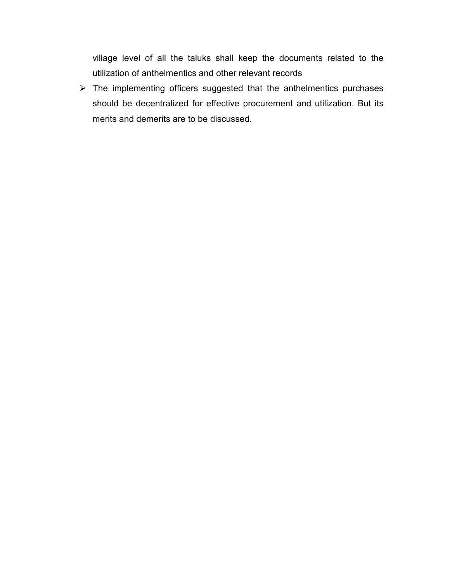village level of all the taluks shall keep the documents related to the utilization of anthelmentics and other relevant records

 $\triangleright$  The implementing officers suggested that the anthelmentics purchases should be decentralized for effective procurement and utilization. But its merits and demerits are to be discussed.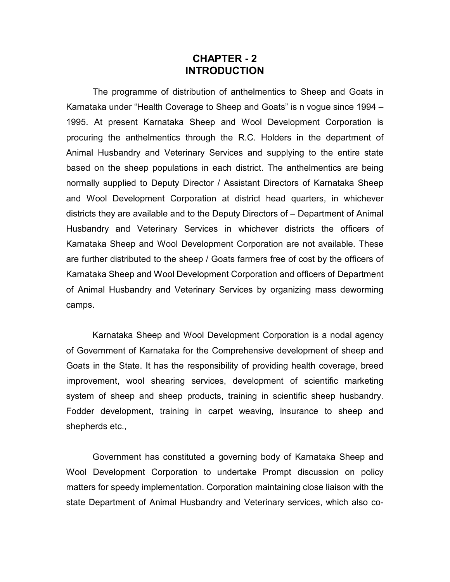# **CHAPTER - 2 INTRODUCTION**

The programme of distribution of anthelmentics to Sheep and Goats in Karnataka under "Health Coverage to Sheep and Goats" is n vogue since 1994 – 1995. At present Karnataka Sheep and Wool Development Corporation is procuring the anthelmentics through the R.C. Holders in the department of Animal Husbandry and Veterinary Services and supplying to the entire state based on the sheep populations in each district. The anthelmentics are being normally supplied to Deputy Director / Assistant Directors of Karnataka Sheep and Wool Development Corporation at district head quarters, in whichever districts they are available and to the Deputy Directors of – Department of Animal Husbandry and Veterinary Services in whichever districts the officers of Karnataka Sheep and Wool Development Corporation are not available. These are further distributed to the sheep / Goats farmers free of cost by the officers of Karnataka Sheep and Wool Development Corporation and officers of Department of Animal Husbandry and Veterinary Services by organizing mass deworming camps.

Karnataka Sheep and Wool Development Corporation is a nodal agency of Government of Karnataka for the Comprehensive development of sheep and Goats in the State. It has the responsibility of providing health coverage, breed improvement, wool shearing services, development of scientific marketing system of sheep and sheep products, training in scientific sheep husbandry. Fodder development, training in carpet weaving, insurance to sheep and shepherds etc.,

Government has constituted a governing body of Karnataka Sheep and Wool Development Corporation to undertake Prompt discussion on policy matters for speedy implementation. Corporation maintaining close liaison with the state Department of Animal Husbandry and Veterinary services, which also co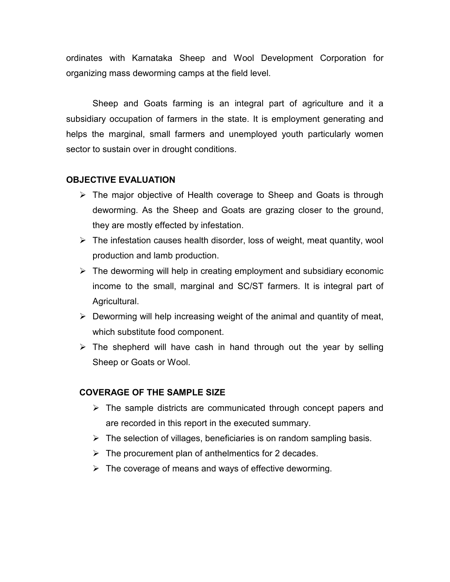ordinates with Karnataka Sheep and Wool Development Corporation for organizing mass deworming camps at the field level.

Sheep and Goats farming is an integral part of agriculture and it a subsidiary occupation of farmers in the state. It is employment generating and helps the marginal, small farmers and unemployed youth particularly women sector to sustain over in drought conditions.

# **OBJECTIVE EVALUATION**

- $\triangleright$  The major objective of Health coverage to Sheep and Goats is through deworming. As the Sheep and Goats are grazing closer to the ground, they are mostly effected by infestation.
- $\triangleright$  The infestation causes health disorder, loss of weight, meat quantity, wool production and lamb production.
- $\triangleright$  The deworming will help in creating employment and subsidiary economic income to the small, marginal and SC/ST farmers. It is integral part of Agricultural.
- $\triangleright$  Deworming will help increasing weight of the animal and quantity of meat, which substitute food component.
- $\triangleright$  The shepherd will have cash in hand through out the year by selling Sheep or Goats or Wool.

# **COVERAGE OF THE SAMPLE SIZE**

- $\triangleright$  The sample districts are communicated through concept papers and are recorded in this report in the executed summary.
- $\triangleright$  The selection of villages, beneficiaries is on random sampling basis.
- $\triangleright$  The procurement plan of anthelmentics for 2 decades.
- $\triangleright$  The coverage of means and ways of effective deworming.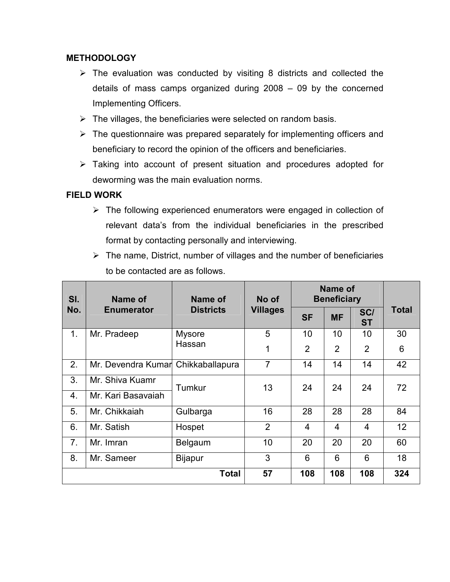# **METHODOLOGY**

- $\triangleright$  The evaluation was conducted by visiting 8 districts and collected the details of mass camps organized during 2008 – 09 by the concerned Implementing Officers.
- $\triangleright$  The villages, the beneficiaries were selected on random basis.
- $\triangleright$  The questionnaire was prepared separately for implementing officers and beneficiary to record the opinion of the officers and beneficiaries.
- $\triangleright$  Taking into account of present situation and procedures adopted for deworming was the main evaluation norms.

# **FIELD WORK**

- $\triangleright$  The following experienced enumerators were engaged in collection of relevant data's from the individual beneficiaries in the prescribed format by contacting personally and interviewing.
- $\triangleright$  The name, District, number of villages and the number of beneficiaries to be contacted are as follows.

| SI.            | Name of                            | Name of          | No of           | Name of<br><b>Beneficiary</b> |                |                  |       |
|----------------|------------------------------------|------------------|-----------------|-------------------------------|----------------|------------------|-------|
| No.            | <b>Enumerator</b>                  | <b>Districts</b> | <b>Villages</b> | <b>SF</b>                     | <b>MF</b>      | SC/<br><b>ST</b> | Total |
| 1.             | Mr. Pradeep                        | <b>Mysore</b>    | 5               | 10                            | 10             | 10               | 30    |
|                |                                    | Hassan           | 1               | $\overline{2}$                | $\overline{2}$ | $\overline{2}$   | 6     |
| 2.             | Mr. Devendra Kumar Chikkaballapura |                  | 7               | 14                            | 14             | 14               | 42    |
| 3.             | Mr. Shiva Kuamr                    | Tumkur           | 13              | 24                            | 24             | 24               | 72    |
| 4.             | Mr. Kari Basavaiah                 |                  |                 |                               |                |                  |       |
| 5.             | Mr. Chikkaiah                      | Gulbarga         | 16              | 28                            | 28             | 28               | 84    |
| 6.             | Mr. Satish                         | Hospet           | $\overline{2}$  | $\overline{4}$                | 4              | $\overline{4}$   | 12    |
| 7 <sub>1</sub> | Mr. Imran                          | Belgaum          | 10              | 20                            | 20             | 20               | 60    |
| 8.             | Mr. Sameer                         | <b>Bijapur</b>   | 3               | 6                             | 6              | 6                | 18    |
|                |                                    | <b>Total</b>     | 57              | 108                           | 108            | 108              | 324   |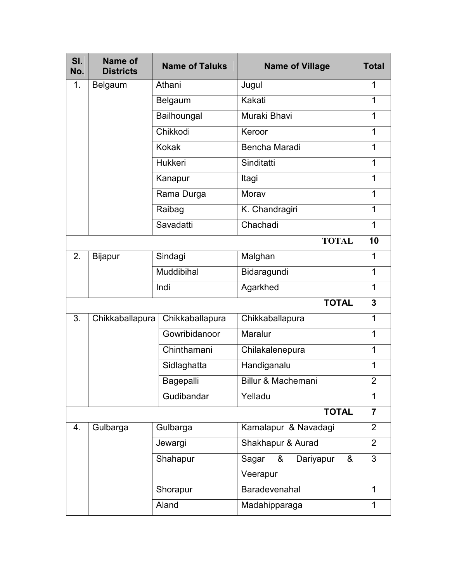| SI.<br>No. | Name of<br><b>Districts</b> | <b>Name of Taluks</b> | <b>Name of Village</b>       | <b>Total</b>   |
|------------|-----------------------------|-----------------------|------------------------------|----------------|
| 1.         | <b>Belgaum</b>              | Athani                | Jugul                        | 1              |
|            |                             | Belgaum               | Kakati                       | 1              |
|            |                             | Bailhoungal           | Muraki Bhavi                 | 1              |
|            |                             | Chikkodi              | Keroor                       | 1              |
|            |                             | <b>Kokak</b>          | Bencha Maradi                | 1              |
|            |                             | Hukkeri               | Sinditatti                   | 1              |
|            |                             | Kanapur               | Itagi                        | 1              |
|            |                             | Rama Durga            | Morav                        | 1              |
|            |                             | Raibag                | K. Chandragiri               | 1              |
|            |                             | Savadatti             | Chachadi                     | 1              |
|            |                             |                       | <b>TOTAL</b>                 | 10             |
| 2.         | <b>Bijapur</b>              | Sindagi               | Malghan                      | 1              |
|            |                             | Muddibihal            | Bidaragundi                  | 1              |
|            |                             | Indi                  | Agarkhed                     | 1              |
|            |                             |                       | <b>TOTAL</b>                 | 3              |
| 3.         | Chikkaballapura             | Chikkaballapura       | Chikkaballapura              | 1              |
|            |                             | Gowribidanoor         | Maralur                      | 1              |
|            |                             | Chinthamani           | Chilakalenepura              | 1              |
|            |                             | Sidlaghatta           | Handiganalu                  | 1              |
|            |                             | <b>Bagepalli</b>      | Billur & Machemani           | 2              |
|            |                             | Gudibandar            | Yelladu                      | 1              |
|            |                             |                       | <b>TOTAL</b>                 | $\overline{7}$ |
| 4.         | Gulbarga                    | Gulbarga              | Kamalapur & Navadagi         | $\overline{2}$ |
|            |                             | Jewargi               | Shakhapur & Aurad            | $\overline{2}$ |
|            |                             | Shahapur              | Sagar<br>Dariyapur<br>&<br>& | 3              |
|            |                             |                       | Veerapur                     |                |
|            | Baradevenahal<br>Shorapur   |                       |                              | 1              |
|            |                             | Aland                 | Madahipparaga                | 1              |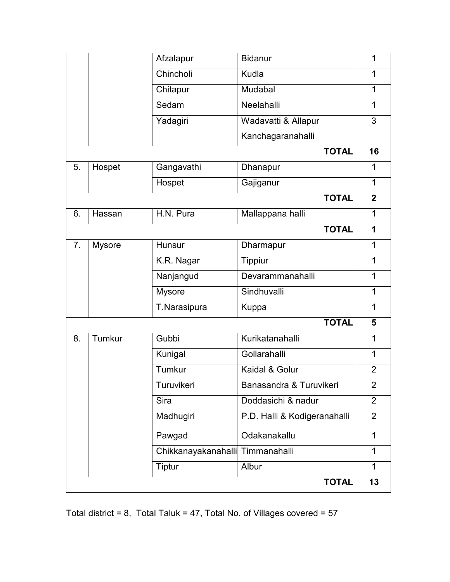|                |               | Afzalapur                        | <b>Bidanur</b>               | 1              |
|----------------|---------------|----------------------------------|------------------------------|----------------|
|                |               | Chincholi                        | Kudla                        | 1              |
|                |               | Chitapur                         | Mudabal                      | 1              |
|                |               | Sedam                            | Neelahalli                   | $\mathbf 1$    |
|                |               | Yadagiri                         | Wadavatti & Allapur          | 3              |
|                |               |                                  | Kanchagaranahalli            |                |
|                |               |                                  | <b>TOTAL</b>                 | 16             |
| 5.             | Hospet        | Gangavathi                       | Dhanapur                     | 1              |
|                |               | Hospet                           | Gajiganur                    | $\mathbf{1}$   |
|                |               |                                  | <b>TOTAL</b>                 | $\mathbf{2}$   |
| 6.             | Hassan        | H.N. Pura                        | Mallappana halli             | 1              |
|                |               |                                  | <b>TOTAL</b>                 | 1              |
| 7 <sub>1</sub> | <b>Mysore</b> | Hunsur                           | Dharmapur                    | 1              |
|                |               | K.R. Nagar                       | <b>Tippiur</b>               | 1              |
|                |               | Nanjangud                        | Devarammanahalli             | 1              |
|                |               | <b>Mysore</b>                    | Sindhuvalli                  | $\mathbf 1$    |
|                |               | T.Narasipura                     | <b>Kuppa</b>                 | $\mathbf 1$    |
|                |               |                                  | <b>TOTAL</b>                 | 5              |
| 8.             | Tumkur        | Gubbi                            | Kurikatanahalli              | 1              |
|                |               | Kunigal                          | Gollarahalli                 | $\mathbf 1$    |
|                |               | Tumkur                           | Kaidal & Golur               | $\overline{2}$ |
|                |               | Turuvikeri                       | Banasandra & Turuvikeri      | $\overline{2}$ |
|                |               | Sira                             | Doddasichi & nadur           | $\overline{2}$ |
|                |               | Madhugiri                        | P.D. Halli & Kodigeranahalli | 2              |
|                |               | Pawgad                           | Odakanakallu                 | $\mathbf 1$    |
|                |               | Chikkanayakanahalli Timmanahalli |                              | $\mathbf{1}$   |
|                |               | <b>Tiptur</b>                    | Albur                        | 1              |
|                |               |                                  | <b>TOTAL</b>                 | 13             |

Total district = 8, Total Taluk = 47, Total No. of Villages covered = 57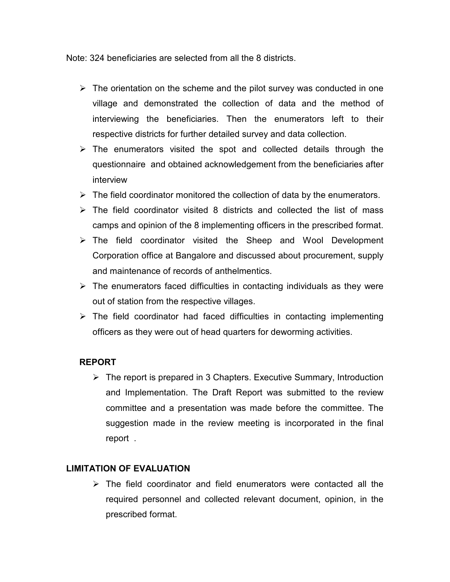Note: 324 beneficiaries are selected from all the 8 districts.

- $\triangleright$  The orientation on the scheme and the pilot survey was conducted in one village and demonstrated the collection of data and the method of interviewing the beneficiaries. Then the enumerators left to their respective districts for further detailed survey and data collection.
- $\triangleright$  The enumerators visited the spot and collected details through the questionnaire and obtained acknowledgement from the beneficiaries after interview
- $\triangleright$  The field coordinator monitored the collection of data by the enumerators.
- $\triangleright$  The field coordinator visited 8 districts and collected the list of mass camps and opinion of the 8 implementing officers in the prescribed format.
- $\triangleright$  The field coordinator visited the Sheep and Wool Development Corporation office at Bangalore and discussed about procurement, supply and maintenance of records of anthelmentics.
- $\triangleright$  The enumerators faced difficulties in contacting individuals as they were out of station from the respective villages.
- $\triangleright$  The field coordinator had faced difficulties in contacting implementing officers as they were out of head quarters for deworming activities.

# **REPORT**

 $\triangleright$  The report is prepared in 3 Chapters. Executive Summary, Introduction and Implementation. The Draft Report was submitted to the review committee and a presentation was made before the committee. The suggestion made in the review meeting is incorporated in the final report .

# **LIMITATION OF EVALUATION**

 $\triangleright$  The field coordinator and field enumerators were contacted all the required personnel and collected relevant document, opinion, in the prescribed format.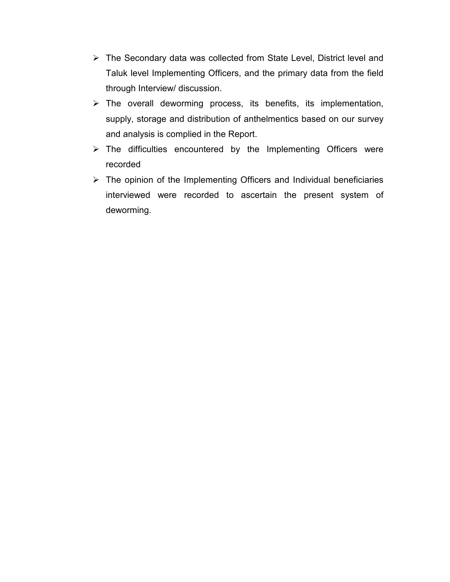- $\triangleright$  The Secondary data was collected from State Level, District level and Taluk level Implementing Officers, and the primary data from the field through Interview/ discussion.
- > The overall deworming process, its benefits, its implementation, supply, storage and distribution of anthelmentics based on our survey and analysis is complied in the Report.
- $\triangleright$  The difficulties encountered by the Implementing Officers were recorded
- $\triangleright$  The opinion of the Implementing Officers and Individual beneficiaries interviewed were recorded to ascertain the present system of deworming.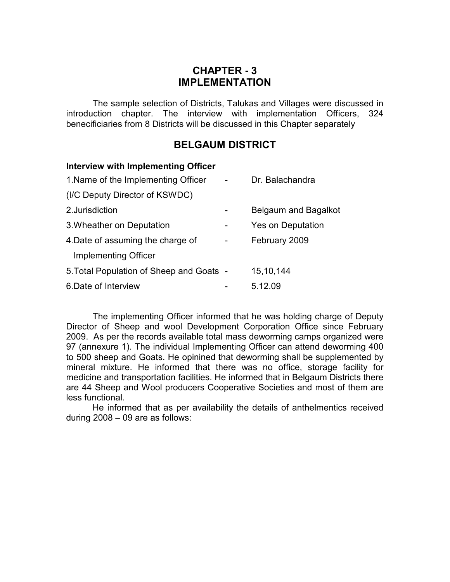# **CHAPTER - 3 IMPLEMENTATION**

The sample selection of Districts, Talukas and Villages were discussed in introduction chapter. The interview with implementation Officers, 324 benecificiaries from 8 Districts will be discussed in this Chapter separately

# **BELGAUM DISTRICT**

| Interview with Implementing Officer      |                      |
|------------------------------------------|----------------------|
| 1. Name of the Implementing Officer      | Dr. Balachandra      |
| (I/C Deputy Director of KSWDC)           |                      |
| 2. Jurisdiction                          | Belgaum and Bagalkot |
| 3. Wheather on Deputation                | Yes on Deputation    |
| 4. Date of assuming the charge of        | February 2009        |
| Implementing Officer                     |                      |
| 5. Total Population of Sheep and Goats - | 15, 10, 144          |
| 6. Date of Interview                     | 5.12.09              |
|                                          |                      |

 The implementing Officer informed that he was holding charge of Deputy Director of Sheep and wool Development Corporation Office since February 2009. As per the records available total mass deworming camps organized were 97 (annexure 1). The individual Implementing Officer can attend deworming 400 to 500 sheep and Goats. He opinined that deworming shall be supplemented by mineral mixture. He informed that there was no office, storage facility for medicine and transportation facilities. He informed that in Belgaum Districts there are 44 Sheep and Wool producers Cooperative Societies and most of them are less functional.

 He informed that as per availability the details of anthelmentics received during 2008 – 09 are as follows: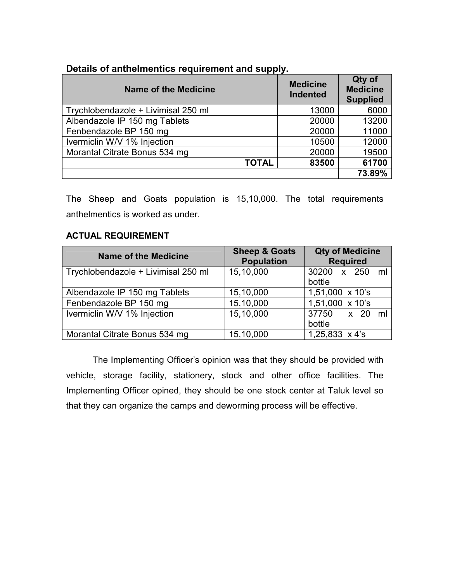# **Details of anthelmentics requirement and supply.**

| <b>Name of the Medicine</b>         | <b>Medicine</b><br><b>Indented</b> | Qty of<br><b>Medicine</b><br><b>Supplied</b> |
|-------------------------------------|------------------------------------|----------------------------------------------|
| Trychlobendazole + Livimisal 250 ml | 13000                              | 6000                                         |
| Albendazole IP 150 mg Tablets       | 20000                              | 13200                                        |
| Fenbendazole BP 150 mg              | 20000                              | 11000                                        |
| Ivermiclin W/V 1% Injection         | 10500                              | 12000                                        |
| Morantal Citrate Bonus 534 mg       | 20000                              | 19500                                        |
| <b>TOTAL</b>                        | 83500                              | 61700                                        |
|                                     |                                    | 73.89%                                       |

The Sheep and Goats population is 15,10,000. The total requirements anthelmentics is worked as under.

# **ACTUAL REQUIREMENT**

| <b>Name of the Medicine</b>         | <b>Sheep &amp; Goats</b><br><b>Population</b> | <b>Qty of Medicine</b><br><b>Required</b> |
|-------------------------------------|-----------------------------------------------|-------------------------------------------|
| Trychlobendazole + Livimisal 250 ml | 15,10,000                                     | 30200 x 250 ml<br>bottle                  |
| Albendazole IP 150 mg Tablets       | 15,10,000                                     | $1,51,000 \times 10$ 's                   |
| Fenbendazole BP 150 mg              | 15,10,000                                     | $1,51,000 \times 10$ 's                   |
| Ivermiclin W/V 1% Injection         | 15,10,000                                     | 37750 x 20 ml<br>bottle                   |
| Morantal Citrate Bonus 534 mg       | 15,10,000                                     | $1,25,833 \times 4's$                     |

The Implementing Officer's opinion was that they should be provided with vehicle, storage facility, stationery, stock and other office facilities. The Implementing Officer opined, they should be one stock center at Taluk level so that they can organize the camps and deworming process will be effective.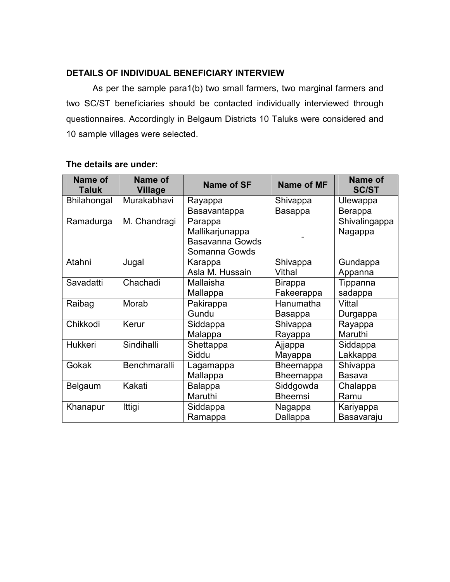# **DETAILS OF INDIVIDUAL BENEFICIARY INTERVIEW**

As per the sample para1(b) two small farmers, two marginal farmers and two SC/ST beneficiaries should be contacted individually interviewed through questionnaires. Accordingly in Belgaum Districts 10 Taluks were considered and 10 sample villages were selected.

| Name of<br><b>Taluk</b> | Name of<br><b>Village</b> | <b>Name of SF</b>      | <b>Name of MF</b> | Name of<br><b>SC/ST</b> |
|-------------------------|---------------------------|------------------------|-------------------|-------------------------|
| <b>Bhilahongal</b>      | Murakabhavi               | Rayappa                | Shivappa          | Ulewappa                |
|                         |                           | Basavantappa           | <b>Basappa</b>    | Berappa                 |
| Ramadurga               | M. Chandragi              | Parappa                |                   | Shivalingappa           |
|                         |                           | Mallikarjunappa        |                   | Nagappa                 |
|                         |                           | <b>Basavanna Gowds</b> |                   |                         |
|                         |                           | Somanna Gowds          |                   |                         |
| Atahni                  | Jugal                     | Karappa                | Shivappa          | Gundappa                |
|                         |                           | Asla M. Hussain        | Vithal            | Appanna                 |
| Savadatti               | Chachadi                  | Mallaisha              | <b>Birappa</b>    | Tippanna                |
|                         |                           | Mallappa               | Fakeerappa        | sadappa                 |
| Raibag                  | Morab                     | Pakirappa              | Hanumatha         | Vittal                  |
|                         |                           | Gundu                  | <b>Basappa</b>    | Durgappa                |
| Chikkodi                | Kerur                     | Siddappa               | Shivappa          | Rayappa                 |
|                         |                           | Malappa                | Rayappa           | Maruthi                 |
| Hukkeri                 | Sindihalli                | Shettappa              | Ajjappa           | Siddappa                |
|                         |                           | Siddu                  | Mayappa           | Lakkappa                |
| Gokak                   | Benchmaralli              | Lagamappa              | Bheemappa         | Shivappa                |
|                         |                           | Mallappa               | Bheemappa         | <b>Basava</b>           |
| Belgaum                 | Kakati                    | Balappa                | Siddgowda         | Chalappa                |
|                         |                           | Maruthi                | <b>Bheemsi</b>    | Ramu                    |
| Khanapur                | Ittigi                    | Siddappa               | Nagappa           | Kariyappa               |
|                         |                           | Ramappa                | Dallappa          | Basavaraju              |

# **The details are under:**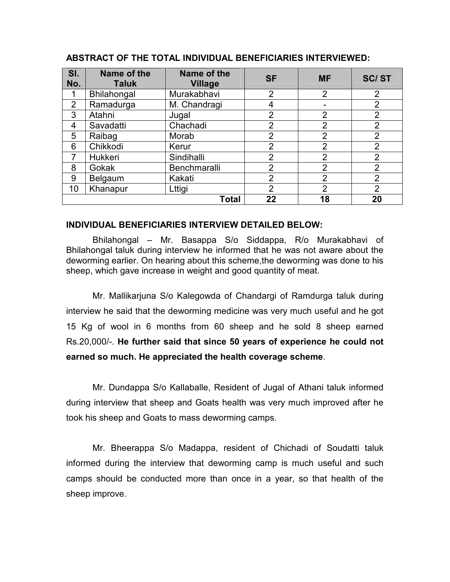| SI.<br>No.     | Name of the<br><b>Taluk</b> | Name of the<br><b>Village</b> | <b>SF</b>      | <b>MF</b>      | <b>SC/ST</b>   |
|----------------|-----------------------------|-------------------------------|----------------|----------------|----------------|
|                | Bhilahongal                 | Murakabhavi                   | $\overline{2}$ | $\overline{2}$ | $\overline{2}$ |
| $\overline{2}$ | Ramadurga                   | M. Chandragi                  | 4              |                | $\overline{2}$ |
| 3              | Atahni                      | Jugal                         | $\overline{2}$ | $\overline{2}$ | 2              |
| 4              | Savadatti                   | Chachadi                      | $\overline{2}$ | $\overline{2}$ | $\overline{2}$ |
| 5              | Raibag                      | Morab                         | $\overline{2}$ | $\overline{2}$ | $\overline{2}$ |
| 6              | Chikkodi                    | Kerur                         | $\overline{2}$ | $\overline{2}$ | $\overline{2}$ |
|                | Hukkeri                     | Sindihalli                    | 2              | $\overline{2}$ | $\overline{2}$ |
| 8              | Gokak                       | Benchmaralli                  | $\overline{2}$ | 2              | $\overline{2}$ |
| 9              | Belgaum                     | Kakati                        | $\overline{2}$ | $\overline{2}$ | $\overline{2}$ |
| 10             | Khanapur                    | Lttigi                        | $\overline{2}$ | $\overline{2}$ | $\overline{2}$ |
|                |                             | <b>Total</b>                  | 22             | 18             | 20             |

#### **ABSTRACT OF THE TOTAL INDIVIDUAL BENEFICIARIES INTERVIEWED:**

#### **INDIVIDUAL BENEFICIARIES INTERVIEW DETAILED BELOW:**

Bhilahongal – Mr. Basappa S/o Siddappa, R/o Murakabhavi of Bhilahongal taluk during interview he informed that he was not aware about the deworming earlier. On hearing about this scheme,the deworming was done to his sheep, which gave increase in weight and good quantity of meat.

Mr. Mallikarjuna S/o Kalegowda of Chandargi of Ramdurga taluk during interview he said that the deworming medicine was very much useful and he got 15 Kg of wool in 6 months from 60 sheep and he sold 8 sheep earned Rs.20,000/-. **He further said that since 50 years of experience he could not earned so much. He appreciated the health coverage scheme**.

Mr. Dundappa S/o Kallaballe, Resident of Jugal of Athani taluk informed during interview that sheep and Goats health was very much improved after he took his sheep and Goats to mass deworming camps.

Mr. Bheerappa S/o Madappa, resident of Chichadi of Soudatti taluk informed during the interview that deworming camp is much useful and such camps should be conducted more than once in a year, so that health of the sheep improve.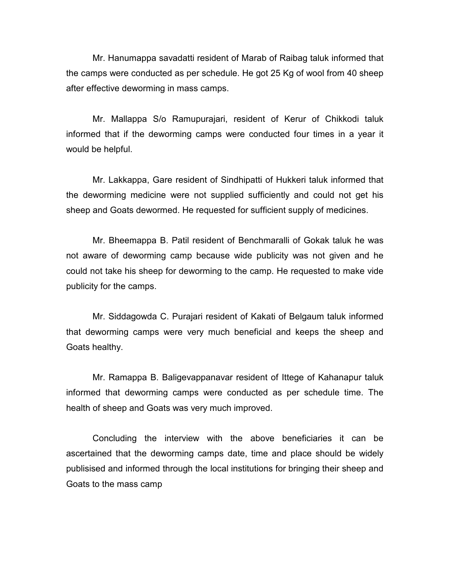Mr. Hanumappa savadatti resident of Marab of Raibag taluk informed that the camps were conducted as per schedule. He got 25 Kg of wool from 40 sheep after effective deworming in mass camps.

Mr. Mallappa S/o Ramupurajari, resident of Kerur of Chikkodi taluk informed that if the deworming camps were conducted four times in a year it would be helpful.

Mr. Lakkappa, Gare resident of Sindhipatti of Hukkeri taluk informed that the deworming medicine were not supplied sufficiently and could not get his sheep and Goats dewormed. He requested for sufficient supply of medicines.

Mr. Bheemappa B. Patil resident of Benchmaralli of Gokak taluk he was not aware of deworming camp because wide publicity was not given and he could not take his sheep for deworming to the camp. He requested to make vide publicity for the camps.

Mr. Siddagowda C. Purajari resident of Kakati of Belgaum taluk informed that deworming camps were very much beneficial and keeps the sheep and Goats healthy.

Mr. Ramappa B. Baligevappanavar resident of Ittege of Kahanapur taluk informed that deworming camps were conducted as per schedule time. The health of sheep and Goats was very much improved.

Concluding the interview with the above beneficiaries it can be ascertained that the deworming camps date, time and place should be widely publisised and informed through the local institutions for bringing their sheep and Goats to the mass camp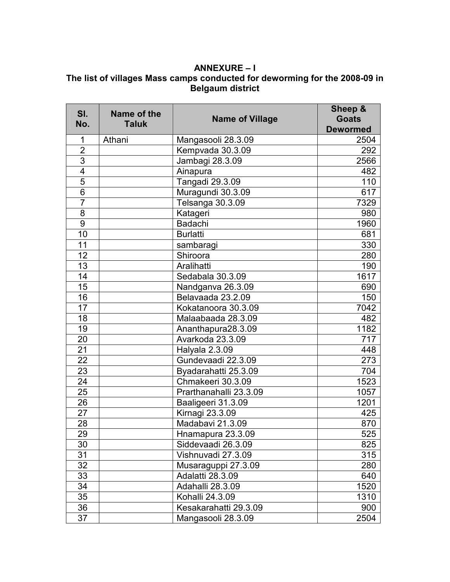# **ANNEXURE – I**

# **The list of villages Mass camps conducted for deworming for the 2008-09 in Belgaum district**

| SI.<br>No.      | Name of the<br><b>Taluk</b> | <b>Name of Village</b> | Sheep &<br><b>Goats</b><br><b>Dewormed</b> |
|-----------------|-----------------------------|------------------------|--------------------------------------------|
| 1               | Athani                      | Mangasooli 28.3.09     | 2504                                       |
| $\overline{2}$  |                             | Kempvada 30.3.09       | 292                                        |
| 3               |                             | Jambagi 28.3.09        | 2566                                       |
| $\overline{4}$  |                             | Ainapura               | 482                                        |
| $\overline{5}$  |                             | Tangadi 29.3.09        | 110                                        |
| $\overline{6}$  |                             | Muragundi 30.3.09      | 617                                        |
| $\overline{7}$  |                             | Telsanga 30.3.09       | 7329                                       |
| 8               |                             | Katageri               | 980                                        |
| 9               |                             | <b>Badachi</b>         | 1960                                       |
| 10              |                             | <b>Burlatti</b>        | 681                                        |
| 11              |                             | sambaragi              | 330                                        |
| 12              |                             | Shiroora               | 280                                        |
| 13              |                             | Aralihatti             | 190                                        |
| 14              |                             | Sedabala 30.3.09       | 1617                                       |
| 15              |                             | Nandganya 26.3.09      | 690                                        |
| 16              |                             | Belavaada 23.2.09      | 150                                        |
| 17              |                             | Kokatanoora 30.3.09    | 7042                                       |
| 18              |                             | Malaabaada 28.3.09     | 482                                        |
| 19              |                             | Ananthapura28.3.09     | 1182                                       |
| 20              |                             | Avarkoda 23.3.09       | 717                                        |
| 21              |                             | Halyala 2.3.09         | 448                                        |
| $\overline{22}$ |                             | Gundevaadi 22.3.09     | 273                                        |
| 23              |                             | Byadarahatti 25.3.09   | 704                                        |
| 24              |                             | Chmakeeri 30.3.09      | 1523                                       |
| 25              |                             | Prarthanahalli 23.3.09 | 1057                                       |
| 26              |                             | Baaligeeri 31.3.09     | 1201                                       |
| 27              |                             | Kirnagi 23.3.09        | 425                                        |
| 28              |                             | Madabavi 21.3.09       | 870                                        |
| 29              |                             | Hnamapura 23.3.09      | 525                                        |
| 30              |                             | Siddevaadi 26.3.09     | 825                                        |
| 31              |                             | Vishnuvadi 27.3.09     | 315                                        |
| 32              |                             | Musaraguppi 27.3.09    | 280                                        |
| 33              |                             | Adalatti 28.3.09       | 640                                        |
| 34              |                             | Adahalli 28.3.09       | 1520                                       |
| 35              |                             | Kohalli 24.3.09        | 1310                                       |
| 36              |                             | Kesakarahatti 29.3.09  | 900                                        |
| 37              |                             | Mangasooli 28.3.09     | 2504                                       |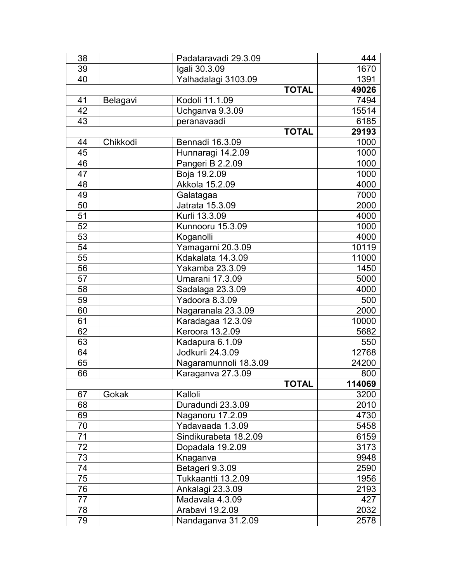| 38 |          | Padataravadi 29.3.09   | 444    |
|----|----------|------------------------|--------|
| 39 |          | Igali 30.3.09          | 1670   |
| 40 |          | Yalhadalagi 3103.09    | 1391   |
|    |          | <b>TOTAL</b>           | 49026  |
| 41 | Belagavi | Kodoli 11.1.09         | 7494   |
| 42 |          | Uchganva 9.3.09        | 15514  |
| 43 |          | peranavaadi            | 6185   |
|    |          | <b>TOTAL</b>           | 29193  |
| 44 | Chikkodi | Bennadi 16.3.09        | 1000   |
| 45 |          | Hunnaragi 14.2.09      | 1000   |
| 46 |          | Pangeri B 2.2.09       | 1000   |
| 47 |          | Boja 19.2.09           | 1000   |
| 48 |          | Akkola 15.2.09         | 4000   |
| 49 |          | Galatagaa              | 7000   |
| 50 |          | Jatrata 15.3.09        | 2000   |
| 51 |          | Kurli 13.3.09          | 4000   |
| 52 |          | Kunnooru 15.3.09       | 1000   |
| 53 |          | Koganolli              | 4000   |
| 54 |          | Yamagarni 20.3.09      | 10119  |
| 55 |          | Kdakalata 14.3.09      | 11000  |
| 56 |          | Yakamba 23.3.09        | 1450   |
| 57 |          | <b>Umarani 17.3.09</b> | 5000   |
| 58 |          | Sadalaga 23.3.09       | 4000   |
| 59 |          | Yadoora 8.3.09         | 500    |
| 60 |          | Nagaranala 23.3.09     | 2000   |
| 61 |          | Karadagaa 12.3.09      | 10000  |
| 62 |          | Keroora 13.2.09        | 5682   |
| 63 |          | Kadapura 6.1.09        | 550    |
| 64 |          | Jodkurli 24.3.09       | 12768  |
| 65 |          | Nagaramunnoli 18.3.09  | 24200  |
| 66 |          | Karaganva 27.3.09      | 800    |
|    |          | <b>TOTAL</b>           | 114069 |
| 67 | Gokak    | Kalloli                | 3200   |
| 68 |          | Duradundi 23.3.09      | 2010   |
| 69 |          | Naganoru 17.2.09       | 4730   |
| 70 |          | Yadavaada 1.3.09       | 5458   |
| 71 |          | Sindikurabeta 18.2.09  | 6159   |
| 72 |          | Dopadala 19.2.09       | 3173   |
| 73 |          | Knaganva               | 9948   |
| 74 |          | Betageri 9.3.09        | 2590   |
| 75 |          | Tukkaantti 13.2.09     | 1956   |
| 76 |          | Ankalagi 23.3.09       | 2193   |
| 77 |          | Madavala 4.3.09        | 427    |
| 78 |          | Arabavi 19.2.09        | 2032   |
| 79 |          | Nandaganva 31.2.09     | 2578   |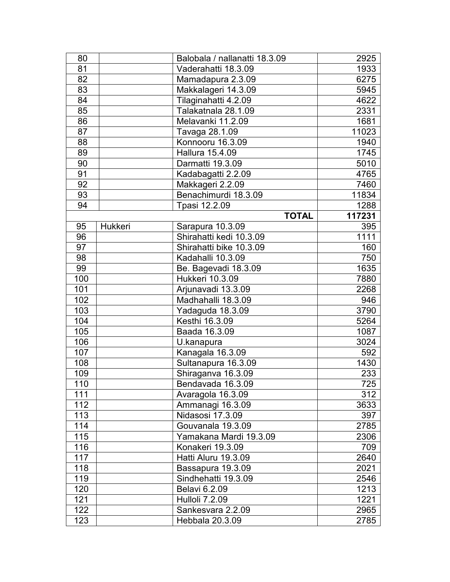| 80  |         | Balobala / nallanatti 18.3.09 | 2925   |
|-----|---------|-------------------------------|--------|
| 81  |         | Vaderahatti 18.3.09           | 1933   |
| 82  |         | Mamadapura 2.3.09             | 6275   |
| 83  |         | Makkalageri 14.3.09           | 5945   |
| 84  |         | Tilaginahatti 4.2.09          | 4622   |
| 85  |         | Talakatnala 28.1.09           | 2331   |
| 86  |         | Melavanki 11.2.09             | 1681   |
| 87  |         | Tavaga 28.1.09                | 11023  |
| 88  |         | Konnooru 16.3.09              | 1940   |
| 89  |         | Hallura 15.4.09               | 1745   |
| 90  |         | Darmatti 19.3.09              | 5010   |
| 91  |         | Kadabagatti 2.2.09            | 4765   |
| 92  |         | Makkageri 2.2.09              | 7460   |
| 93  |         | Benachimurdi 18.3.09          | 11834  |
| 94  |         | Tpasi 12.2.09                 | 1288   |
|     |         | <b>TOTAL</b>                  | 117231 |
| 95  | Hukkeri | Sarapura 10.3.09              | 395    |
| 96  |         | Shirahatti kedi 10.3.09       | 1111   |
| 97  |         | Shirahatti bike 10.3.09       | 160    |
| 98  |         | Kadahalli 10.3.09             | 750    |
| 99  |         | Be. Bagevadi 18.3.09          | 1635   |
| 100 |         | Hukkeri 10.3.09               | 7880   |
| 101 |         | Arjunavadi 13.3.09            | 2268   |
| 102 |         | Madhahalli 18.3.09            | 946    |
| 103 |         | Yadaguda 18.3.09              | 3790   |
| 104 |         | Kesthi 16.3.09                | 5264   |
| 105 |         | Baada 16.3.09                 | 1087   |
| 106 |         | U.kanapura                    | 3024   |
| 107 |         | Kanagala 16.3.09              | 592    |
| 108 |         | Sultanapura 16.3.09           | 1430   |
| 109 |         | Shiraganva 16.3.09            | 233    |
| 110 |         | Bendavada 16.3.09             | 725    |
| 111 |         | Avaragola 16.3.09             | 312    |
| 112 |         | Ammanagi 16.3.09              | 3633   |
| 113 |         | Nidasosi 17.3.09              | 397    |
| 114 |         | Gouvanala 19.3.09             | 2785   |
| 115 |         | Yamakana Mardi 19.3.09        | 2306   |
| 116 |         | Konakeri 19.3.09              | 709    |
| 117 |         | Hatti Aluru 19.3.09           | 2640   |
| 118 |         | Bassapura 19.3.09             | 2021   |
| 119 |         | Sindhehatti 19.3.09           | 2546   |
| 120 |         | Belavi 6.2.09                 | 1213   |
| 121 |         | <b>Hulloli 7.2.09</b>         | 1221   |
| 122 |         | Sankesvara 2.2.09             | 2965   |
| 123 |         | Hebbala 20.3.09               | 2785   |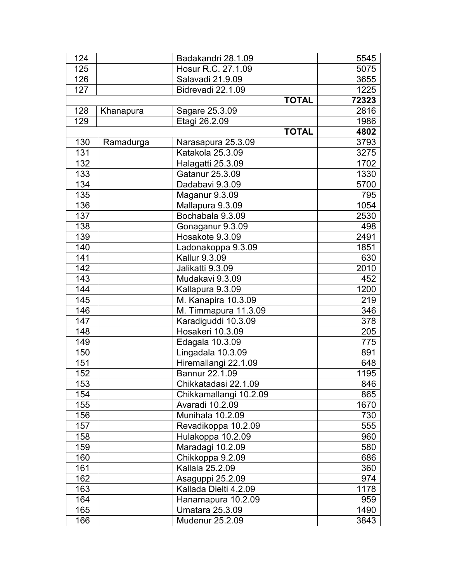| 124 |           | Badakandri 28.1.09     | 5545  |
|-----|-----------|------------------------|-------|
| 125 |           | Hosur R.C. 27.1.09     | 5075  |
| 126 |           | Salavadi 21.9.09       | 3655  |
| 127 |           | Bidrevadi 22.1.09      | 1225  |
|     |           | <b>TOTAL</b>           | 72323 |
| 128 | Khanapura | Sagare 25.3.09         | 2816  |
| 129 |           | Etagi 26.2.09          | 1986  |
|     |           | <b>TOTAL</b>           | 4802  |
| 130 | Ramadurga | Narasapura 25.3.09     | 3793  |
| 131 |           | Katakola 25.3.09       | 3275  |
| 132 |           | Halagatti 25.3.09      | 1702  |
| 133 |           | Gatanur 25.3.09        | 1330  |
| 134 |           | Dadabavi 9.3.09        | 5700  |
| 135 |           | Maganur 9.3.09         | 795   |
| 136 |           | Mallapura 9.3.09       | 1054  |
| 137 |           | Bochabala 9.3.09       | 2530  |
| 138 |           | Gonaganur 9.3.09       | 498   |
| 139 |           | Hosakote 9.3.09        | 2491  |
| 140 |           | Ladonakoppa 9.3.09     | 1851  |
| 141 |           | Kallur 9.3.09          | 630   |
| 142 |           | Jalikatti 9.3.09       | 2010  |
| 143 |           | Mudakavi 9.3.09        | 452   |
| 144 |           | Kallapura 9.3.09       | 1200  |
| 145 |           | M. Kanapira 10.3.09    | 219   |
| 146 |           | M. Timmapura 11.3.09   | 346   |
| 147 |           | Karadiguddi 10.3.09    | 378   |
| 148 |           | Hosakeri 10.3.09       | 205   |
| 149 |           | Edagala 10.3.09        | 775   |
| 150 |           | Lingadala 10.3.09      | 891   |
| 151 |           | Hiremallangi 22.1.09   | 648   |
| 152 |           | Bannur 22.1.09         | 1195  |
| 153 |           | Chikkatadasi 22.1.09   | 846   |
| 154 |           | Chikkamallangi 10.2.09 | 865   |
| 155 |           | Avaradi 10.2.09        | 1670  |
| 156 |           | Munihala 10.2.09       | 730   |
| 157 |           | Revadikoppa 10.2.09    | 555   |
| 158 |           | Hulakoppa 10.2.09      | 960   |
| 159 |           | Maradagi 10.2.09       | 580   |
| 160 |           | Chikkoppa 9.2.09       | 686   |
| 161 |           | Kallala 25.2.09        | 360   |
| 162 |           | Asaguppi 25.2.09       | 974   |
| 163 |           | Kallada Dielti 4.2.09  | 1178  |
| 164 |           | Hanamapura 10.2.09     | 959   |
| 165 |           | <b>Umatara 25.3.09</b> | 1490  |
| 166 |           | <b>Mudenur 25.2.09</b> | 3843  |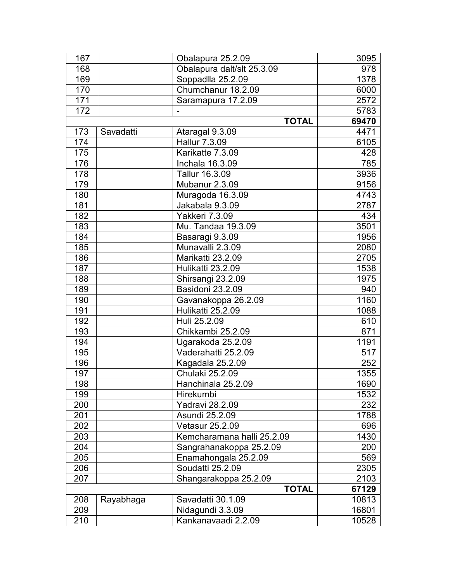| 167 |           | Obalapura 25.2.09          | 3095  |
|-----|-----------|----------------------------|-------|
| 168 |           | Obalapura dalt/slt 25.3.09 | 978   |
| 169 |           | Soppadlla 25.2.09          | 1378  |
| 170 |           | Chumchanur 18.2.09         | 6000  |
| 171 |           | Saramapura 17.2.09         | 2572  |
| 172 |           |                            | 5783  |
|     |           | <b>TOTAL</b>               | 69470 |
| 173 | Savadatti | Ataragal 9.3.09            | 4471  |
| 174 |           | Hallur 7.3.09              | 6105  |
| 175 |           | Karikatte 7.3.09           | 428   |
| 176 |           | Inchala 16.3.09            | 785   |
| 178 |           | Tallur 16.3.09             | 3936  |
| 179 |           | Mubanur 2.3.09             | 9156  |
| 180 |           | Muragoda 16.3.09           | 4743  |
| 181 |           | Jakabala 9.3.09            | 2787  |
| 182 |           | Yakkeri 7.3.09             | 434   |
| 183 |           | Mu. Tandaa 19.3.09         | 3501  |
| 184 |           | Basaragi 9.3.09            | 1956  |
| 185 |           | Munavalli 2.3.09           | 2080  |
| 186 |           | Marikatti 23.2.09          | 2705  |
| 187 |           | Hulikatti 23.2.09          | 1538  |
| 188 |           | Shirsangi 23.2.09          | 1975  |
| 189 |           | Basidoni 23.2.09           | 940   |
| 190 |           | Gavanakoppa 26.2.09        | 1160  |
| 191 |           | Hulikatti 25.2.09          | 1088  |
| 192 |           | Huli 25.2.09               | 610   |
| 193 |           | Chikkambi 25.2.09          | 871   |
| 194 |           | Ugarakoda 25.2.09          | 1191  |
| 195 |           | Vaderahatti 25.2.09        | 517   |
| 196 |           | Kagadala 25.2.09           | 252   |
| 197 |           | Chulaki 25.2.09            | 1355  |
| 198 |           | Hanchinala 25.2.09         | 1690  |
| 199 |           | Hirekumbi                  | 1532  |
| 200 |           | Yadravi 28.2.09            | 232   |
| 201 |           | Asundi 25.2.09             | 1788  |
| 202 |           | <b>Vetasur 25.2.09</b>     | 696   |
| 203 |           | Kemcharamana halli 25.2.09 | 1430  |
| 204 |           | Sangrahanakoppa 25.2.09    | 200   |
| 205 |           | Enamahongala 25.2.09       | 569   |
| 206 |           | Soudatti 25.2.09           | 2305  |
| 207 |           | Shangarakoppa 25.2.09      | 2103  |
|     |           | <b>TOTAL</b>               | 67129 |
| 208 | Rayabhaga | Savadatti 30.1.09          | 10813 |
| 209 |           | Nidagundi 3.3.09           | 16801 |
| 210 |           | Kankanavaadi 2.2.09        | 10528 |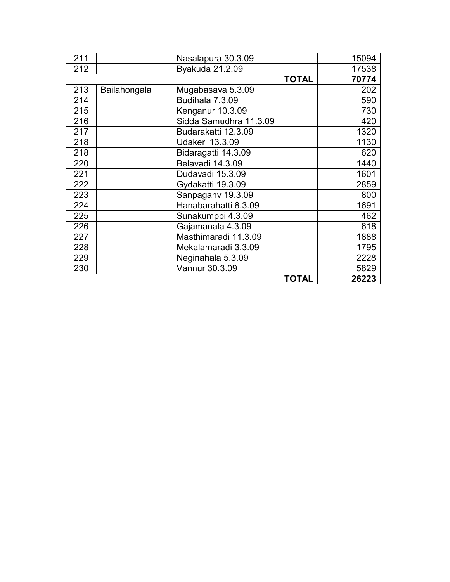| 211 |              | Nasalapura 30.3.09     | 15094 |
|-----|--------------|------------------------|-------|
| 212 |              | Byakuda 21.2.09        | 17538 |
|     |              | <b>TOTAL</b>           | 70774 |
| 213 | Bailahongala | Mugabasava 5.3.09      | 202   |
| 214 |              | Budihala 7.3.09        | 590   |
| 215 |              | Kenganur 10.3.09       | 730   |
| 216 |              | Sidda Samudhra 11.3.09 | 420   |
| 217 |              | Budarakatti 12.3.09    | 1320  |
| 218 |              | <b>Udakeri 13.3.09</b> | 1130  |
| 218 |              | Bidaragatti 14.3.09    | 620   |
| 220 |              | Belavadi 14.3.09       | 1440  |
| 221 |              | Dudavadi 15.3.09       | 1601  |
| 222 |              | Gydakatti 19.3.09      | 2859  |
| 223 |              | Sanpagany 19.3.09      | 800   |
| 224 |              | Hanabarahatti 8.3.09   | 1691  |
| 225 |              | Sunakumppi 4.3.09      | 462   |
| 226 |              | Gajamanala 4.3.09      | 618   |
| 227 |              | Masthimaradi 11.3.09   | 1888  |
| 228 |              | Mekalamaradi 3.3.09    | 1795  |
| 229 |              | Neginahala 5.3.09      | 2228  |
| 230 |              | Vannur 30.3.09         | 5829  |
|     |              | <b>TOTAL</b>           | 26223 |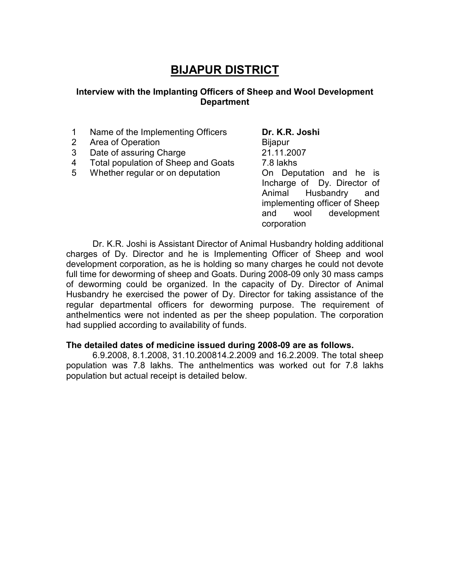# **BIJAPUR DISTRICT**

#### **Interview with the Implanting Officers of Sheep and Wool Development Department**

- 1 Name of the Implementing Officers **Dr. K.R. Joshi**
- 2 Area of Operation **Bijapur**
- 3 Date of assuring Charge 21.11.2007
- 4 Total population of Sheep and Goats 7.8 lakhs
- 5 Whether regular or on deputation **On Deputation** and he is

Incharge of Dy. Director of Animal Husbandry and implementing officer of Sheep and wool development corporation

Dr. K.R. Joshi is Assistant Director of Animal Husbandry holding additional charges of Dy. Director and he is Implementing Officer of Sheep and wool development corporation, as he is holding so many charges he could not devote full time for deworming of sheep and Goats. During 2008-09 only 30 mass camps of deworming could be organized. In the capacity of Dy. Director of Animal Husbandry he exercised the power of Dy. Director for taking assistance of the regular departmental officers for deworming purpose. The requirement of anthelmentics were not indented as per the sheep population. The corporation had supplied according to availability of funds.

# **The detailed dates of medicine issued during 2008-09 are as follows.**

6.9.2008, 8.1.2008, 31.10.200814.2.2009 and 16.2.2009. The total sheep population was 7.8 lakhs. The anthelmentics was worked out for 7.8 lakhs population but actual receipt is detailed below.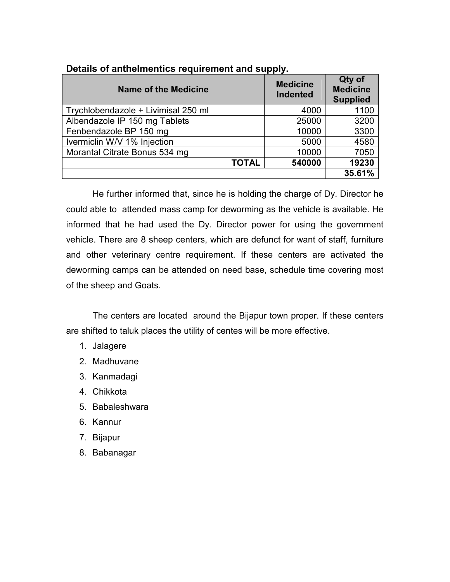| <b>Name of the Medicine</b>         | <b>Medicine</b><br><b>Indented</b> | Qty of<br><b>Medicine</b><br><b>Supplied</b> |
|-------------------------------------|------------------------------------|----------------------------------------------|
| Trychlobendazole + Livimisal 250 ml | 4000                               | 1100                                         |
| Albendazole IP 150 mg Tablets       | 25000                              | 3200                                         |
| Fenbendazole BP 150 mg              | 10000                              | 3300                                         |
| Ivermiclin W/V 1% Injection         | 5000                               | 4580                                         |
| Morantal Citrate Bonus 534 mg       | 10000                              | 7050                                         |
| <b>TOTAL</b>                        | 540000                             | 19230                                        |
|                                     |                                    | 35.61%                                       |

#### **Details of anthelmentics requirement and supply.**

He further informed that, since he is holding the charge of Dy. Director he could able to attended mass camp for deworming as the vehicle is available. He informed that he had used the Dy. Director power for using the government vehicle. There are 8 sheep centers, which are defunct for want of staff, furniture and other veterinary centre requirement. If these centers are activated the deworming camps can be attended on need base, schedule time covering most of the sheep and Goats.

The centers are located around the Bijapur town proper. If these centers are shifted to taluk places the utility of centes will be more effective.

- 1. Jalagere
- 2. Madhuvane
- 3. Kanmadagi
- 4. Chikkota
- 5. Babaleshwara
- 6. Kannur
- 7. Bijapur
- 8. Babanagar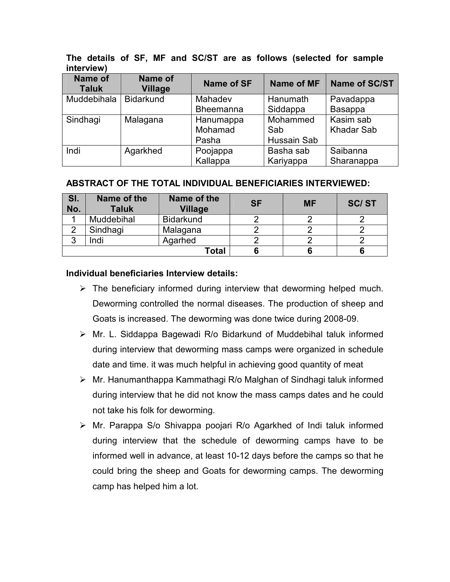| Name of<br><b>Taluk</b> | Name of<br><b>Village</b> | <b>Name of SF</b> | Name of MF  | <b>Name of SC/ST</b> |
|-------------------------|---------------------------|-------------------|-------------|----------------------|
| Muddebihala             | <b>Bidarkund</b>          | Mahadev           | Hanumath    | Pavadappa            |
|                         |                           | <b>Bheemanna</b>  | Siddappa    | Basappa              |
| Sindhagi                | Malagana                  | Hanumappa         | Mohammed    | Kasim sab            |
|                         |                           | Mohamad           | Sab         | <b>Khadar Sab</b>    |
|                         |                           | Pasha             | Hussain Sab |                      |
| Indi                    | Agarkhed                  | Poojappa          | Basha sab   | Saibanna             |
|                         |                           | Kallappa          | Kariyappa   | Sharanappa           |

**The details of SF, MF and SC/ST are as follows (selected for sample interview)**

#### **ABSTRACT OF THE TOTAL INDIVIDUAL BENEFICIARIES INTERVIEWED:**

| SI.<br>No. | Name of the<br><b>Taluk</b> | Name of the<br><b>Village</b> | <b>SF</b> | <b>MF</b> | <b>SC/ST</b> |
|------------|-----------------------------|-------------------------------|-----------|-----------|--------------|
|            | Muddebihal                  | <b>Bidarkund</b>              |           |           |              |
|            | Sindhagi                    | Malagana                      |           |           |              |
| J          | Indi                        | Agarhed                       |           |           |              |
|            |                             | Total                         |           |           |              |

#### **Individual beneficiaries Interview details:**

- $\triangleright$  The beneficiary informed during interview that deworming helped much. Deworming controlled the normal diseases. The production of sheep and Goats is increased. The deworming was done twice during 2008-09.
- Mr. L. Siddappa Bagewadi R/o Bidarkund of Muddebihal taluk informed during interview that deworming mass camps were organized in schedule date and time. it was much helpful in achieving good quantity of meat
- Mr. Hanumanthappa Kammathagi R/o Malghan of Sindhagi taluk informed during interview that he did not know the mass camps dates and he could not take his folk for deworming.
- Mr. Parappa S/o Shivappa poojari R/o Agarkhed of Indi taluk informed during interview that the schedule of deworming camps have to be informed well in advance, at least 10-12 days before the camps so that he could bring the sheep and Goats for deworming camps. The deworming camp has helped him a lot.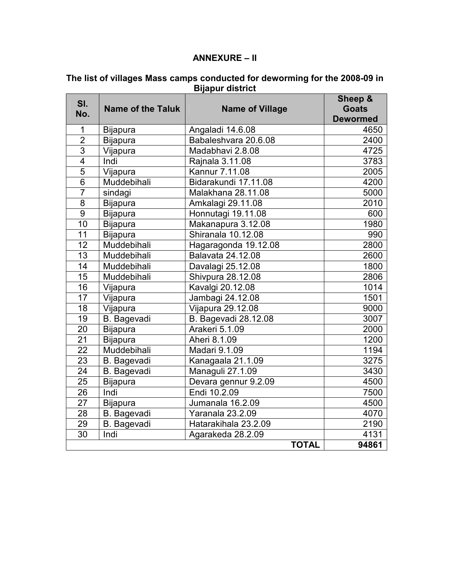#### **ANNEXURE – II**

| SI.             |                          |                        | Sheep &         |
|-----------------|--------------------------|------------------------|-----------------|
| No.             | <b>Name of the Taluk</b> | <b>Name of Village</b> | <b>Goats</b>    |
|                 |                          |                        | <b>Dewormed</b> |
| 1               | <b>Bijapura</b>          | Angaladi 14.6.08       | 4650            |
| $\overline{2}$  | Bijapura                 | Babaleshvara 20.6.08   | 2400            |
| $\overline{3}$  | Vijapura                 | Madabhavi 2.8.08       | 4725            |
| $\overline{4}$  | Indi                     | Rajnala 3.11.08        | 3783            |
| $\overline{5}$  | Vijapura                 | Kannur 7.11.08         | 2005            |
| $\overline{6}$  | Muddebihali              | Bidarakundi 17.11.08   | 4200            |
| $\overline{7}$  | sindagi                  | Malakhana 28.11.08     | 5000            |
| $\overline{8}$  | <b>Bijapura</b>          | Amkalagi 29.11.08      | 2010            |
| $\overline{9}$  | <b>Bijapura</b>          | Honnutagi 19.11.08     | 600             |
| 10              | <b>Bijapura</b>          | Makanapura 3.12.08     | 1980            |
| 11              | <b>Bijapura</b>          | Shiranala 10.12.08     | 990             |
| 12              | Muddebihali              | Hagaragonda 19.12.08   | 2800            |
| 13              | Muddebihali              | Balavata 24.12.08      | 2600            |
| 14              | Muddebihali              | Davalagi 25.12.08      | 1800            |
| 15              | Muddebihali              | Shivpura 28.12.08      | 2806            |
| 16              | Vijapura                 | Kavalgi 20.12.08       | 1014            |
| 17              | Vijapura                 | Jambagi 24.12.08       | 1501            |
| 18              | Vijapura                 | Vijapura 29.12.08      | 9000            |
| 19              | <b>B.</b> Bagevadi       | B. Bagevadi 28.12.08   | 3007            |
| 20              | <b>Bijapura</b>          | Arakeri 5.1.09         | 2000            |
| $\overline{21}$ | <b>Bijapura</b>          | Aheri 8.1.09           | 1200            |
| 22              | Muddebihali              | <b>Madari 9.1.09</b>   | 1194            |
| 23              | B. Bagevadi              | Kanagaala 21.1.09      | 3275            |
| 24              | <b>B.</b> Bagevadi       | Managuli 27.1.09       | 3430            |
| 25              | Bijapura                 | Devara gennur 9.2.09   | 4500            |
| $\overline{26}$ | Indi                     | Endi 10.2.09           | 7500            |
| 27              | <b>Bijapura</b>          | Jumanala 16.2.09       | 4500            |
| 28              | B. Bagevadi              | Yaranala 23.2.09       | 4070            |
| 29              | <b>B.</b> Bagevadi       | Hatarakihala 23.2.09   | 2190            |
| 30              | Indi                     | Agarakeda 28.2.09      | 4131            |
|                 |                          | <b>TOTAL</b>           | 94861           |

#### **The list of villages Mass camps conducted for deworming for the 2008-09 in Bijapur district**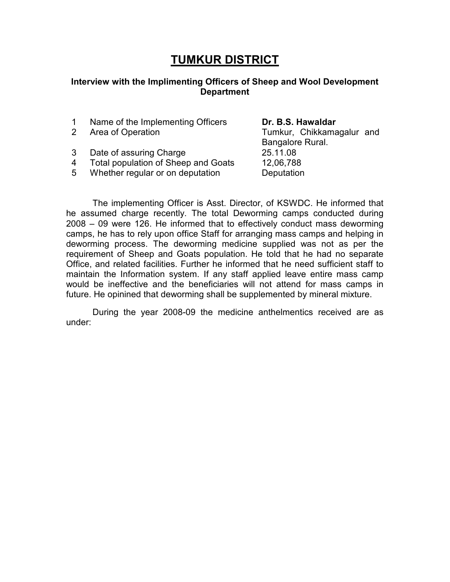# **TUMKUR DISTRICT**

#### **Interview with the Implimenting Officers of Sheep and Wool Development Department**

1 Name of the Implementing Officers **Dr. B.S. Hawaldar** 

- 
- 3 Date of assuring Charge 25.11.08
- 4 Total population of Sheep and Goats 12,06,788
- 5 Whether regular or on deputation Deputation

2 Area of Operation Tumkur, Chikkamagalur and Bangalore Rural.

 The implementing Officer is Asst. Director, of KSWDC. He informed that he assumed charge recently. The total Deworming camps conducted during 2008 – 09 were 126. He informed that to effectively conduct mass deworming camps, he has to rely upon office Staff for arranging mass camps and helping in deworming process. The deworming medicine supplied was not as per the requirement of Sheep and Goats population. He told that he had no separate Office, and related facilities. Further he informed that he need sufficient staff to maintain the Information system. If any staff applied leave entire mass camp would be ineffective and the beneficiaries will not attend for mass camps in future. He opinined that deworming shall be supplemented by mineral mixture.

 During the year 2008-09 the medicine anthelmentics received are as under: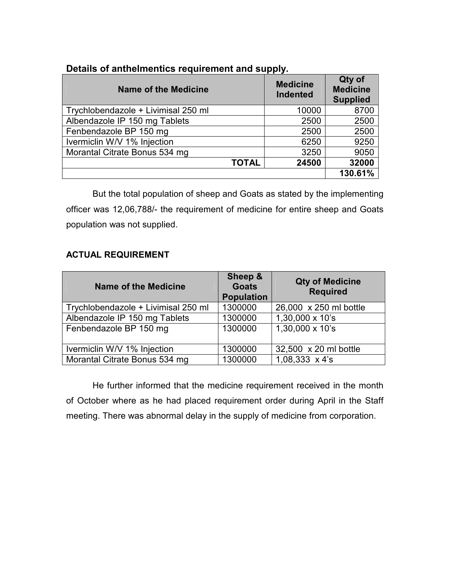| <b>Name of the Medicine</b>         | <b>Medicine</b><br><b>Indented</b> | Qty of<br><b>Medicine</b><br><b>Supplied</b> |
|-------------------------------------|------------------------------------|----------------------------------------------|
| Trychlobendazole + Livimisal 250 ml | 10000                              | 8700                                         |
| Albendazole IP 150 mg Tablets       | 2500                               | 2500                                         |
| Fenbendazole BP 150 mg              | 2500                               | 2500                                         |
| Ivermiclin W/V 1% Injection         | 6250                               | 9250                                         |
| Morantal Citrate Bonus 534 mg       | 3250                               | 9050                                         |
| <b>TOTAL</b>                        | 24500                              | 32000                                        |
|                                     |                                    | 130.61%                                      |

#### **Details of anthelmentics requirement and supply.**

But the total population of sheep and Goats as stated by the implementing officer was 12,06,788/- the requirement of medicine for entire sheep and Goats population was not supplied.

#### **ACTUAL REQUIREMENT**

| <b>Name of the Medicine</b>         | Sheep &<br><b>Goats</b><br><b>Population</b> | <b>Qty of Medicine</b><br><b>Required</b> |
|-------------------------------------|----------------------------------------------|-------------------------------------------|
| Trychlobendazole + Livimisal 250 ml | 1300000                                      | 26,000 x 250 ml bottle                    |
| Albendazole IP 150 mg Tablets       | 1300000                                      | 1,30,000 x 10's                           |
| Fenbendazole BP 150 mg              | 1300000                                      | 1,30,000 x 10's                           |
| Ivermiclin W/V 1% Injection         | 1300000                                      | 32,500 x 20 ml bottle                     |
| Morantal Citrate Bonus 534 mg       | 1300000                                      | $1,08,333 \times 4's$                     |

 He further informed that the medicine requirement received in the month of October where as he had placed requirement order during April in the Staff meeting. There was abnormal delay in the supply of medicine from corporation.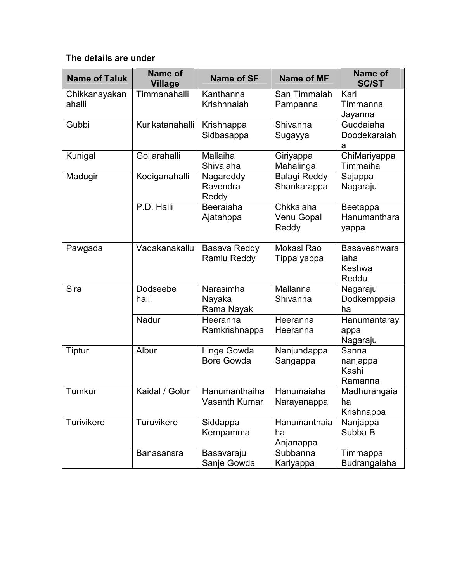### **The details are under**

| <b>Name of Taluk</b>    | Name of<br><b>Village</b> | <b>Name of SF</b>                 | <b>Name of MF</b>                                                | <b>Name of</b><br><b>SC/ST</b>          |
|-------------------------|---------------------------|-----------------------------------|------------------------------------------------------------------|-----------------------------------------|
| Chikkanayakan<br>ahalli | Timmanahalli              | Kanthanna<br>Krishnnaiah          | San Timmaiah<br>Pampanna                                         | Kari<br>Timmanna<br>Jayanna             |
| Gubbi                   | Kurikatanahalli           | Krishnappa<br>Sidbasappa          | Shivanna<br>Sugayya                                              | Guddaiaha<br>Doodekaraiah<br>а          |
| Kunigal                 | Gollarahalli              | Mallaiha<br>Shivaiaha             | Giriyappa<br>Mahalinga                                           | ChiMariyappa<br>Timmaiha                |
| Madugiri                | Kodiganahalli             | Nagareddy<br>Ravendra<br>Reddy    | <b>Balagi Reddy</b><br>Shankarappa                               | Sajappa<br>Nagaraju                     |
|                         | P.D. Halli                | Beeraiaha<br>Ajatahppa            | Chkkaiaha<br>Venu Gopal<br>Reddy                                 | Beetappa<br>Hanumanthara<br>yappa       |
| Pawgada                 | Vadakanakallu             | Basava Reddy<br>Ramlu Reddy       | Mokasi Rao<br>Tippa yappa                                        | Basaveshwara<br>iaha<br>Keshwa<br>Reddu |
| Sira                    | Dodseebe<br>halli         | Narasimha<br>Nayaka<br>Rama Nayak | Mallanna<br>Shivanna                                             | Nagaraju<br>Dodkemppaia<br>ha           |
|                         | Nadur                     | Heeranna<br>Ramkrishnappa         | Heeranna<br>Heeranna                                             | Hanumantaray<br>appa<br>Nagaraju        |
| Tiptur                  | Albur                     | Linge Gowda<br><b>Bore Gowda</b>  | Nanjundappa<br>Sanna<br>Sangappa<br>nanjappa<br>Kashi<br>Ramanna |                                         |
| Tumkur                  | Kaidal / Golur            | Hanumanthaiha<br>Vasanth Kumar    | Hanumaiaha<br>Narayanappa                                        | Madhurangaia<br>ha<br>Krishnappa        |
| Turivikere              | Turuvikere                | Siddappa<br>Kempamma              | Hanumanthaia<br>ha<br>Anjanappa                                  | Nanjappa<br>Subba B                     |
|                         | <b>Banasansra</b>         | Basavaraju<br>Sanje Gowda         | Subbanna<br>Kariyappa                                            | Timmappa<br>Budrangaiaha                |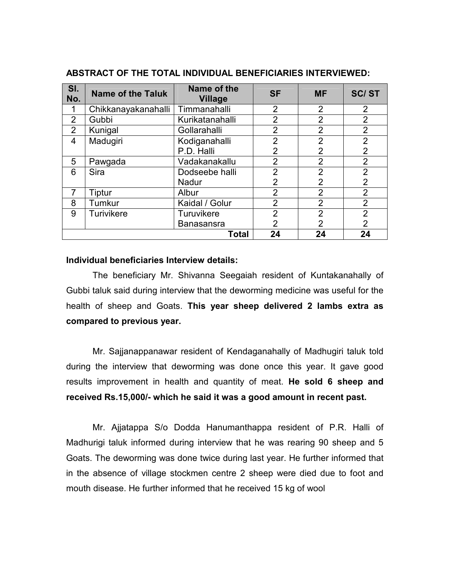| SI.<br>No.              | <b>Name of the Taluk</b> | Name of the<br><b>Village</b> | <b>SF</b>      | <b>MF</b>      | <b>SC/ST</b>   |
|-------------------------|--------------------------|-------------------------------|----------------|----------------|----------------|
| 1                       | Chikkanayakanahalli      | Timmanahalli                  | $\overline{2}$ | $\overline{2}$ | $\overline{2}$ |
| 2                       | Gubbi                    | Kurikatanahalli               | $\overline{2}$ | $\overline{2}$ | $\overline{2}$ |
| 2                       | Kunigal                  | Gollarahalli                  | $\overline{2}$ | $\overline{2}$ | $\overline{2}$ |
| 4                       | Madugiri                 | Kodiganahalli                 | $\overline{2}$ | $\overline{2}$ | $\overline{2}$ |
|                         |                          | P.D. Halli                    | 2              | $\overline{2}$ | $\overline{2}$ |
| 5                       | Pawgada                  | Vadakanakallu                 | $\overline{2}$ | $\overline{2}$ | $\overline{2}$ |
| 6                       | <b>Sira</b>              | Dodseebe halli                | $\overline{2}$ | $\overline{2}$ | $\overline{2}$ |
|                         |                          | <b>Nadur</b>                  | $\overline{2}$ | $\overline{2}$ | $\overline{2}$ |
| $\overline{7}$          | Tiptur                   | Albur                         | $\overline{2}$ | 2              | $\overline{2}$ |
| 8                       | Tumkur                   | Kaidal / Golur                | $\overline{2}$ | $\overline{2}$ | $\overline{2}$ |
| 9                       | Turivikere               | Turuvikere                    | $\overline{2}$ | $\overline{2}$ | $\overline{2}$ |
|                         |                          | <b>Banasansra</b>             | $\overline{2}$ | 2              | $\overline{2}$ |
| 24<br>24<br>24<br>Total |                          |                               |                |                |                |

#### **ABSTRACT OF THE TOTAL INDIVIDUAL BENEFICIARIES INTERVIEWED:**

#### **Individual beneficiaries Interview details:**

The beneficiary Mr. Shivanna Seegaiah resident of Kuntakanahally of Gubbi taluk said during interview that the deworming medicine was useful for the health of sheep and Goats. **This year sheep delivered 2 lambs extra as compared to previous year.** 

Mr. Sajjanappanawar resident of Kendaganahally of Madhugiri taluk told during the interview that deworming was done once this year. It gave good results improvement in health and quantity of meat. **He sold 6 sheep and received Rs.15,000/- which he said it was a good amount in recent past.**

Mr. Ajjatappa S/o Dodda Hanumanthappa resident of P.R. Halli of Madhurigi taluk informed during interview that he was rearing 90 sheep and 5 Goats. The deworming was done twice during last year. He further informed that in the absence of village stockmen centre 2 sheep were died due to foot and mouth disease. He further informed that he received 15 kg of wool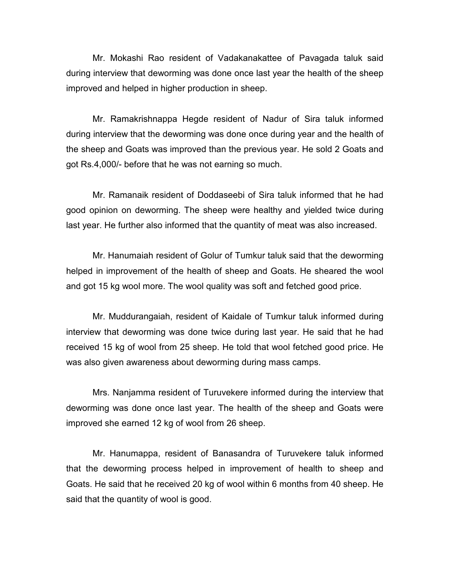Mr. Mokashi Rao resident of Vadakanakattee of Pavagada taluk said during interview that deworming was done once last year the health of the sheep improved and helped in higher production in sheep.

Mr. Ramakrishnappa Hegde resident of Nadur of Sira taluk informed during interview that the deworming was done once during year and the health of the sheep and Goats was improved than the previous year. He sold 2 Goats and got Rs.4,000/- before that he was not earning so much.

Mr. Ramanaik resident of Doddaseebi of Sira taluk informed that he had good opinion on deworming. The sheep were healthy and yielded twice during last year. He further also informed that the quantity of meat was also increased.

Mr. Hanumaiah resident of Golur of Tumkur taluk said that the deworming helped in improvement of the health of sheep and Goats. He sheared the wool and got 15 kg wool more. The wool quality was soft and fetched good price.

Mr. Muddurangaiah, resident of Kaidale of Tumkur taluk informed during interview that deworming was done twice during last year. He said that he had received 15 kg of wool from 25 sheep. He told that wool fetched good price. He was also given awareness about deworming during mass camps.

Mrs. Nanjamma resident of Turuvekere informed during the interview that deworming was done once last year. The health of the sheep and Goats were improved she earned 12 kg of wool from 26 sheep.

Mr. Hanumappa, resident of Banasandra of Turuvekere taluk informed that the deworming process helped in improvement of health to sheep and Goats. He said that he received 20 kg of wool within 6 months from 40 sheep. He said that the quantity of wool is good.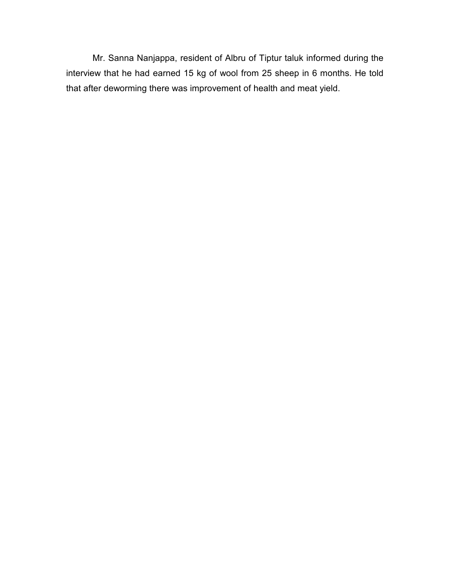Mr. Sanna Nanjappa, resident of Albru of Tiptur taluk informed during the interview that he had earned 15 kg of wool from 25 sheep in 6 months. He told that after deworming there was improvement of health and meat yield.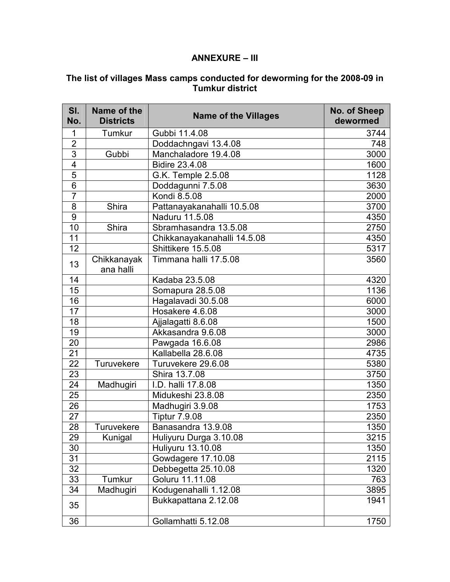#### **ANNEXURE – III**

#### **The list of villages Mass camps conducted for deworming for the 2008-09 in Tumkur district**

| SI.<br>No.              | Name of the<br><b>Districts</b> | <b>Name of the Villages</b> | No. of Sheep<br>dewormed |
|-------------------------|---------------------------------|-----------------------------|--------------------------|
| 1                       | Tumkur                          | Gubbi 11.4.08               | 3744                     |
| $\overline{2}$          |                                 | Doddachngavi 13.4.08        | 748                      |
| 3                       | Gubbi                           | Manchaladore 19.4.08        | 3000                     |
| $\overline{\mathbf{4}}$ |                                 | <b>Bidire 23.4.08</b>       | 1600                     |
| 5                       |                                 | G.K. Temple 2.5.08          | 1128                     |
| $\overline{6}$          |                                 | Doddagunni 7.5.08           | 3630                     |
| $\overline{7}$          |                                 | Kondi 8.5.08                | 2000                     |
| 8                       | Shira                           | Pattanayakanahalli 10.5.08  | 3700                     |
| $\overline{9}$          |                                 | Naduru 11.5.08              | 4350                     |
| 10                      | Shira                           | Sbramhasandra 13.5.08       | 2750                     |
| 11                      |                                 | Chikkanayakanahalli 14.5.08 | 4350                     |
| 12                      |                                 | Shittikere 15.5.08          | 5317                     |
| 13                      | Chikkanayak<br>ana halli        | Timmana halli 17.5.08       | 3560                     |
| 14                      |                                 | Kadaba 23.5.08              | 4320                     |
| 15                      |                                 | Somapura 28.5.08            | 1136                     |
| 16                      |                                 | Hagalavadi 30.5.08          | 6000                     |
| 17                      |                                 | Hosakere 4.6.08             | 3000                     |
| 18                      |                                 | Ajjalagatti 8.6.08          | 1500                     |
| 19                      |                                 | Akkasandra 9.6.08           | 3000                     |
| 20                      |                                 | Pawgada 16.6.08             | 2986                     |
| 21                      |                                 | Kallabella 28.6.08          | 4735                     |
| 22                      | Turuvekere                      | Turuvekere 29.6.08          | 5380                     |
| 23                      |                                 | Shira 13.7.08               | 3750                     |
| 24                      | Madhugiri                       | I.D. halli 17.8.08          | 1350                     |
| 25                      |                                 | Midukeshi 23.8.08           | 2350                     |
| 26                      |                                 | Madhugiri 3.9.08            | 1753                     |
| 27                      |                                 | <b>Tiptur 7.9.08</b>        | 2350                     |
| 28                      | Turuvekere                      | Banasandra 13.9.08          | 1350                     |
| 29                      | Kunigal                         | Huliyuru Durga 3.10.08      | 3215                     |
| 30                      |                                 | Huliyuru 13.10.08           | 1350                     |
| 31                      |                                 | Gowdagere 17.10.08          | 2115                     |
| 32                      |                                 | Debbegetta 25.10.08         | 1320                     |
| 33                      | Tumkur                          | Goluru 11.11.08             | 763                      |
| 34                      | Madhugiri                       | Kodugenahalli 1.12.08       | 3895                     |
| 35                      |                                 | Bukkapattana 2.12.08        | 1941                     |
| 36                      |                                 | Gollamhatti 5.12.08         | 1750                     |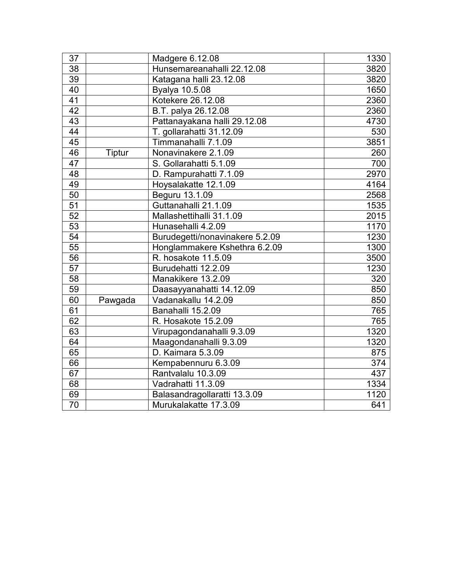| 37              |         | Madgere 6.12.08                 | 1330 |
|-----------------|---------|---------------------------------|------|
| 38              |         | Hunsemareanahalli 22.12.08      | 3820 |
| 39              |         | Katagana halli 23.12.08         | 3820 |
| 40 <sup>7</sup> |         | Byalya 10.5.08                  | 1650 |
| $\overline{41}$ |         | Kotekere 26.12.08               | 2360 |
| 42              |         | B.T. palya 26.12.08             | 2360 |
| 43              |         | Pattanayakana halli 29.12.08    | 4730 |
| 44              |         | T. gollarahatti 31.12.09        | 530  |
| 45              |         | Timmanahalli 7.1.09             | 3851 |
| 46              | Tiptur  | Nonavinakere 2.1.09             | 260  |
| 47              |         | S. Gollarahatti 5.1.09          | 700  |
| 48              |         | D. Rampurahatti 7.1.09          | 2970 |
| 49              |         | Hoysalakatte 12.1.09            | 4164 |
| 50              |         | Beguru 13.1.09                  | 2568 |
| 51              |         | Guttanahalli 21.1.09            | 1535 |
| 52              |         | Mallashettihalli 31.1.09        | 2015 |
| 53              |         | Hunasehalli 4.2.09              | 1170 |
| 54              |         | Burudegetti/nonavinakere 5.2.09 | 1230 |
| 55              |         | Honglammakere Kshethra 6.2.09   | 1300 |
| $\overline{56}$ |         | R. hosakote 11.5.09             | 3500 |
| 57              |         | Burudehatti 12.2.09             | 1230 |
| 58              |         | Manakikere 13.2.09              | 320  |
| 59              |         | Daasayyanahatti 14.12.09        | 850  |
| 60              | Pawgada | Vadanakallu 14.2.09             | 850  |
| $\overline{61}$ |         | Banahalli 15.2.09               | 765  |
| 62              |         | R. Hosakote 15.2.09             | 765  |
| 63              |         | Virupagondanahalli 9.3.09       | 1320 |
| 64              |         | Maagondanahalli 9.3.09          | 1320 |
| 65              |         | D. Kaimara 5.3.09               | 875  |
| 66              |         | Kempabennuru 6.3.09             | 374  |
| 67              |         | Rantvalalu 10.3.09              | 437  |
| 68              |         | Vadrahatti 11.3.09              | 1334 |
| 69              |         | Balasandragollaratti 13.3.09    | 1120 |
| 70              |         | Murukalakatte 17.3.09           | 641  |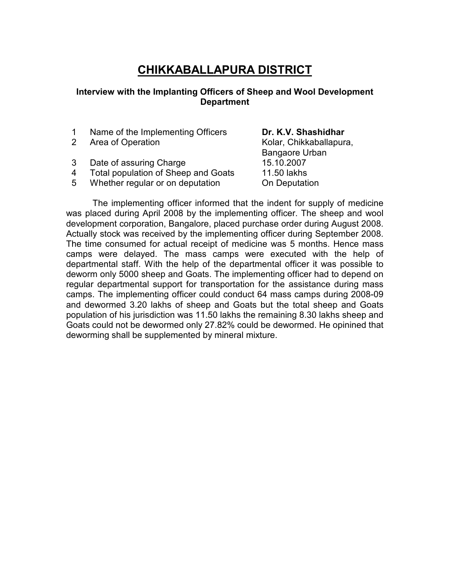# **CHIKKABALLAPURA DISTRICT**

#### **Interview with the Implanting Officers of Sheep and Wool Development Department**

- 1 Name of the Implementing Officers **Dr. K.V. Shashidhar**
- 2 Area of Operation **Archarge Contract Contract Archarge Contract Archarge Archarge Contract Archarge Contract Archarge Archarge Contract Archarge Archarge Archarge Archarge Archarge Archarge Archarge Archarge Archarge Arc**
- 3 Date of assuring Charge 15.10.2007
- 4 Total population of Sheep and Goats 11.50 lakhs
- 5 Whether regular or on deputation On Deputation

Bangaore Urban

The implementing officer informed that the indent for supply of medicine was placed during April 2008 by the implementing officer. The sheep and wool development corporation, Bangalore, placed purchase order during August 2008. Actually stock was received by the implementing officer during September 2008. The time consumed for actual receipt of medicine was 5 months. Hence mass camps were delayed. The mass camps were executed with the help of departmental staff. With the help of the departmental officer it was possible to deworm only 5000 sheep and Goats. The implementing officer had to depend on regular departmental support for transportation for the assistance during mass camps. The implementing officer could conduct 64 mass camps during 2008-09 and dewormed 3.20 lakhs of sheep and Goats but the total sheep and Goats population of his jurisdiction was 11.50 lakhs the remaining 8.30 lakhs sheep and Goats could not be dewormed only 27.82% could be dewormed. He opinined that deworming shall be supplemented by mineral mixture.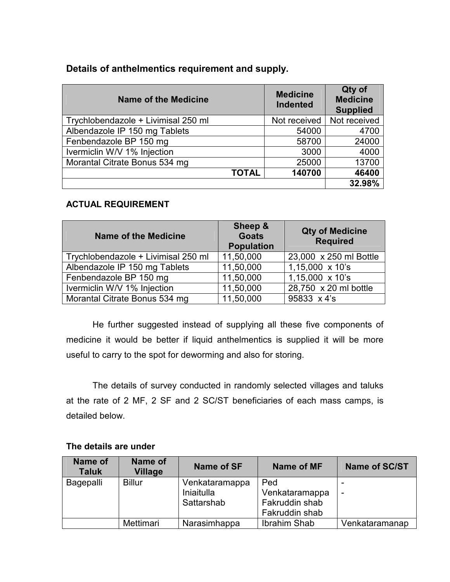### **Details of anthelmentics requirement and supply.**

| <b>Name of the Medicine</b>         | <b>Medicine</b><br><b>Indented</b> | Qty of<br><b>Medicine</b><br><b>Supplied</b> |
|-------------------------------------|------------------------------------|----------------------------------------------|
| Trychlobendazole + Livimisal 250 ml | Not received                       | Not received                                 |
| Albendazole IP 150 mg Tablets       | 54000                              | 4700                                         |
| Fenbendazole BP 150 mg              | 58700                              | 24000                                        |
| Ivermiclin W/V 1% Injection         | 3000                               | 4000                                         |
| Morantal Citrate Bonus 534 mg       | 25000                              | 13700                                        |
| <b>TOTAL</b>                        | 140700                             | 46400                                        |
|                                     |                                    | 32.98%                                       |

#### **ACTUAL REQUIREMENT**

| <b>Name of the Medicine</b>         | Sheep &<br><b>Goats</b><br><b>Population</b> | <b>Qty of Medicine</b><br><b>Required</b> |
|-------------------------------------|----------------------------------------------|-------------------------------------------|
| Trychlobendazole + Livimisal 250 ml | 11,50,000                                    | 23,000 x 250 ml Bottle                    |
| Albendazole IP 150 mg Tablets       | 11,50,000                                    | $1,15,000 \times 10$ 's                   |
| Fenbendazole BP 150 mg              | 11,50,000                                    | $1,15,000 \times 10$ 's                   |
| Ivermiclin W/V 1% Injection         | 11,50,000                                    | 28,750 x 20 ml bottle                     |
| Morantal Citrate Bonus 534 mg       | 11,50,000                                    | 95833 x 4's                               |

He further suggested instead of supplying all these five components of medicine it would be better if liquid anthelmentics is supplied it will be more useful to carry to the spot for deworming and also for storing.

The details of survey conducted in randomly selected villages and taluks at the rate of 2 MF, 2 SF and 2 SC/ST beneficiaries of each mass camps, is detailed below.

| Name of<br><b>Taluk</b> | Name of<br><b>Village</b> | Name of SF     | Name of MF     | <b>Name of SC/ST</b> |
|-------------------------|---------------------------|----------------|----------------|----------------------|
| Bagepalli               | <b>Billur</b>             | Venkataramappa | Ped            |                      |
|                         |                           | Iniaitulla     | Venkataramappa |                      |
|                         |                           | Sattarshab     | Fakruddin shab |                      |
|                         |                           |                | Fakruddin shab |                      |
|                         | <b>Mettimari</b>          | Narasimhappa   | Ibrahim Shab   | Venkataramanap       |

#### **The details are under**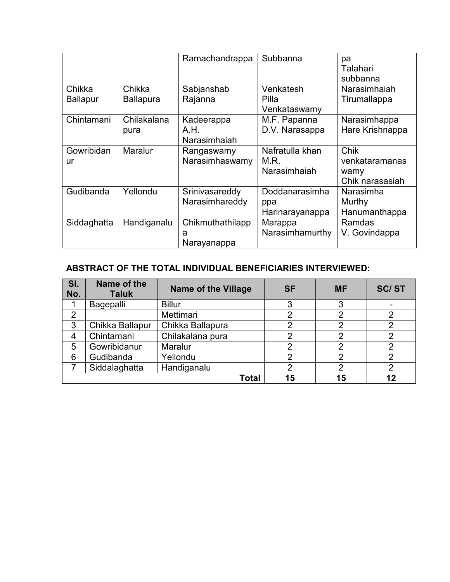|                           |                            | Ramachandrappa                       | Subbanna                                 | pa<br>Talahari<br>subbanna                        |
|---------------------------|----------------------------|--------------------------------------|------------------------------------------|---------------------------------------------------|
| Chikka<br><b>Ballapur</b> | Chikka<br><b>Ballapura</b> | Sabjanshab<br>Rajanna                | Venkatesh<br>Pilla                       | Narasimhaiah<br>Tirumallappa                      |
|                           |                            |                                      | Venkataswamy                             |                                                   |
| Chintamani                | Chilakalana<br>pura        | Kadeerappa<br>A.H.<br>Narasimhaiah   | M.F. Papanna<br>D.V. Narasappa           | Narasimhappa<br>Hare Krishnappa                   |
| Gowribidan<br>ur          | Maralur                    | Rangaswamy<br>Narasimhaswamy         | Nafratulla khan<br>M.R.<br>Narasimhaiah  | Chik<br>venkataramanas<br>wamy<br>Chik narasasiah |
| Gudibanda                 | Yellondu                   | Srinivasareddy<br>Narasimhareddy     | Doddanarasimha<br>ppa<br>Harinarayanappa | Narasimha<br>Murthy<br>Hanumanthappa              |
| Siddaghatta               | Handiganalu                | Chikmuthathilapp<br>a<br>Narayanappa | Marappa<br>Narasimhamurthy               | Ramdas<br>V. Govindappa                           |

## **ABSTRACT OF THE TOTAL INDIVIDUAL BENEFICIARIES INTERVIEWED:**

| SI.<br>No.     | Name of the<br><b>Taluk</b> | <b>Name of the Village</b> | <b>SF</b> | <b>MF</b> | <b>SC/ST</b> |
|----------------|-----------------------------|----------------------------|-----------|-----------|--------------|
|                | Bagepalli                   | <b>Billur</b>              | 3         | ົ         |              |
| $\overline{2}$ |                             | Mettimari                  | າ         | C         | າ            |
| 3              | Chikka Ballapur             | Chikka Ballapura           | 2         |           |              |
| 4              | Chintamani                  | Chilakalana pura           | 2         |           |              |
| 5              | Gowribidanur                | Maralur                    | າ         |           |              |
| 6              | Gudibanda                   | Yellondu                   | າ         | c         |              |
|                | Siddalaghatta               | Handiganalu                | 2         |           |              |
|                |                             | Total                      | 15        | 15        | 12           |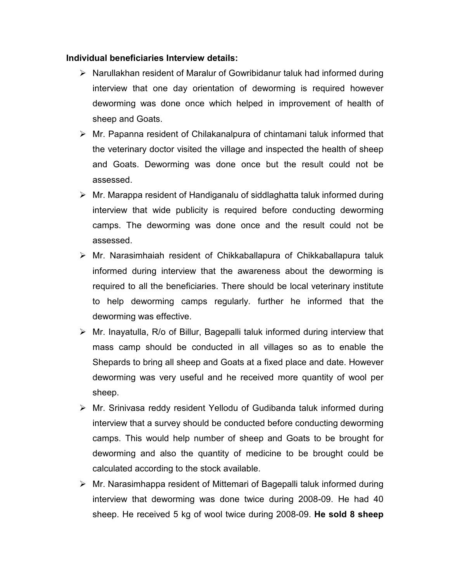#### **Individual beneficiaries Interview details:**

- Narullakhan resident of Maralur of Gowribidanur taluk had informed during interview that one day orientation of deworming is required however deworming was done once which helped in improvement of health of sheep and Goats.
- $\triangleright$  Mr. Papanna resident of Chilakanalpura of chintamani taluk informed that the veterinary doctor visited the village and inspected the health of sheep and Goats. Deworming was done once but the result could not be assessed.
- $\triangleright$  Mr. Marappa resident of Handiganalu of siddlaghatta taluk informed during interview that wide publicity is required before conducting deworming camps. The deworming was done once and the result could not be assessed.
- $\triangleright$  Mr. Narasimhaiah resident of Chikkaballapura of Chikkaballapura taluk informed during interview that the awareness about the deworming is required to all the beneficiaries. There should be local veterinary institute to help deworming camps regularly. further he informed that the deworming was effective.
- $\triangleright$  Mr. Inayatulla, R/o of Billur, Bagepalli taluk informed during interview that mass camp should be conducted in all villages so as to enable the Shepards to bring all sheep and Goats at a fixed place and date. However deworming was very useful and he received more quantity of wool per sheep.
- Mr. Srinivasa reddy resident Yellodu of Gudibanda taluk informed during interview that a survey should be conducted before conducting deworming camps. This would help number of sheep and Goats to be brought for deworming and also the quantity of medicine to be brought could be calculated according to the stock available.
- $\triangleright$  Mr. Narasimhappa resident of Mittemari of Bagepalli taluk informed during interview that deworming was done twice during 2008-09. He had 40 sheep. He received 5 kg of wool twice during 2008-09. **He sold 8 sheep**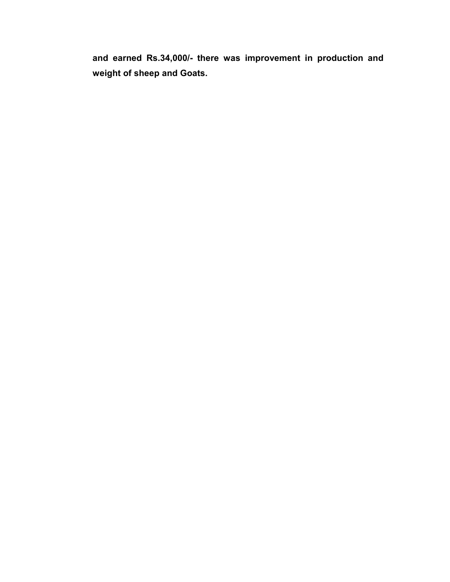**and earned Rs.34,000/- there was improvement in production and weight of sheep and Goats.**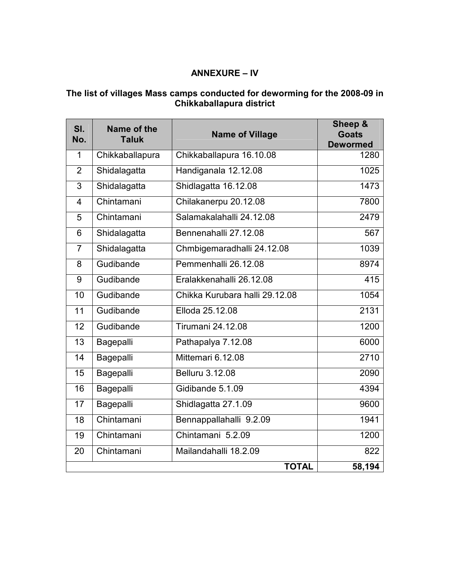## **ANNEXURE – IV**

#### **The list of villages Mass camps conducted for deworming for the 2008-09 in Chikkaballapura district**

| SI.<br>No.     | Name of the<br><b>Taluk</b> | <b>Name of Village</b>         | Sheep &<br><b>Goats</b><br><b>Dewormed</b> |
|----------------|-----------------------------|--------------------------------|--------------------------------------------|
| $\mathbf 1$    | Chikkaballapura             | Chikkaballapura 16.10.08       | 1280                                       |
| $\overline{2}$ | Shidalagatta                | Handiganala 12.12.08           | 1025                                       |
| 3              | Shidalagatta                | Shidlagatta 16.12.08           | 1473                                       |
| $\overline{4}$ | Chintamani                  | Chilakanerpu 20.12.08          | 7800                                       |
| 5              | Chintamani                  | Salamakalahalli 24.12.08       | 2479                                       |
| 6              | Shidalagatta                | Bennenahalli 27.12.08          | 567                                        |
| $\overline{7}$ | Shidalagatta                | Chmbigemaradhalli 24.12.08     | 1039                                       |
| 8              | Gudibande                   | Pemmenhalli 26.12.08           | 8974                                       |
| 9              | Gudibande                   | Eralakkenahalli 26.12.08       | 415                                        |
| 10             | Gudibande                   | Chikka Kurubara halli 29.12.08 | 1054                                       |
| 11             | Gudibande                   | Elloda 25.12.08                | 2131                                       |
| 12             | Gudibande                   | <b>Tirumani 24.12.08</b>       | 1200                                       |
| 13             | Bagepalli                   | Pathapalya 7.12.08             | 6000                                       |
| 14             | Bagepalli                   | Mittemari 6.12.08              | 2710                                       |
| 15             | Bagepalli                   | <b>Belluru 3.12.08</b>         | 2090                                       |
| 16             | Bagepalli                   | Gidibande 5.1.09               | 4394                                       |
| 17             | Bagepalli                   | Shidlagatta 27.1.09            | 9600                                       |
| 18             | Chintamani                  | Bennappallahalli 9.2.09        | 1941                                       |
| 19             | Chintamani                  | Chintamani 5.2.09              | 1200                                       |
| 20             | Chintamani                  | Mailandahalli 18.2.09          | 822                                        |
|                |                             | <b>TOTAL</b>                   | 58,194                                     |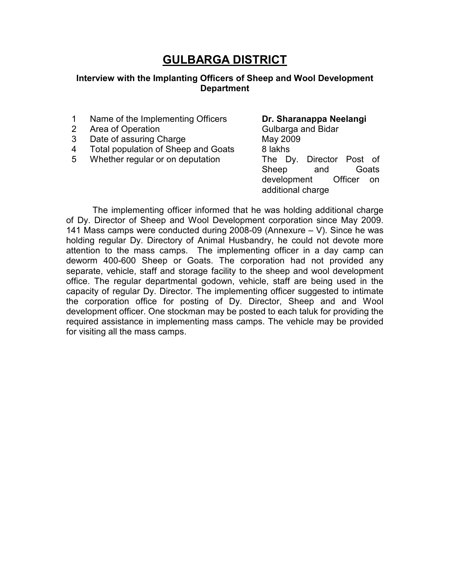# **GULBARGA DISTRICT**

#### **Interview with the Implanting Officers of Sheep and Wool Development Department**

- 1 Name of the Implementing Officers **Dr. Sharanappa Neelangi**
- 2 Area of Operation **Calculation** Gulbarga and Bidar
- 3 Date of assuring Charge May 2009
- 4 Total population of Sheep and Goats 8 lakhs
- 5 Whether regular or on deputation The Dy. Director Post of

# Sheep and Goats development Officer on additional charge

The implementing officer informed that he was holding additional charge of Dy. Director of Sheep and Wool Development corporation since May 2009. 141 Mass camps were conducted during 2008-09 (Annexure – V). Since he was holding regular Dy. Directory of Animal Husbandry, he could not devote more attention to the mass camps. The implementing officer in a day camp can deworm 400-600 Sheep or Goats. The corporation had not provided any separate, vehicle, staff and storage facility to the sheep and wool development office. The regular departmental godown, vehicle, staff are being used in the capacity of regular Dy. Director. The implementing officer suggested to intimate the corporation office for posting of Dy. Director, Sheep and and Wool development officer. One stockman may be posted to each taluk for providing the required assistance in implementing mass camps. The vehicle may be provided for visiting all the mass camps.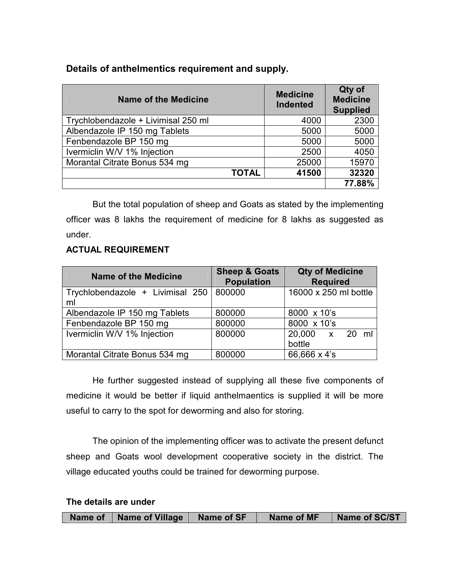#### **Details of anthelmentics requirement and supply.**

| <b>Name of the Medicine</b>         | <b>Medicine</b><br><b>Indented</b> | Qty of<br><b>Medicine</b><br><b>Supplied</b> |
|-------------------------------------|------------------------------------|----------------------------------------------|
| Trychlobendazole + Livimisal 250 ml | 4000                               | 2300                                         |
| Albendazole IP 150 mg Tablets       | 5000                               | 5000                                         |
| Fenbendazole BP 150 mg              | 5000                               | 5000                                         |
| Ivermiclin W/V 1% Injection         | 2500                               | 4050                                         |
| Morantal Citrate Bonus 534 mg       | 25000                              | 15970                                        |
| <b>TOTAL</b>                        | 41500                              | 32320                                        |
|                                     |                                    | 77.88%                                       |

But the total population of sheep and Goats as stated by the implementing officer was 8 lakhs the requirement of medicine for 8 lakhs as suggested as under.

#### **ACTUAL REQUIREMENT**

| <b>Name of the Medicine</b>            | <b>Sheep &amp; Goats</b><br><b>Population</b> | <b>Qty of Medicine</b><br><b>Required</b> |
|----------------------------------------|-----------------------------------------------|-------------------------------------------|
| Trychlobendazole + Livimisal 250<br>ml | 800000                                        | 16000 x 250 ml bottle                     |
| Albendazole IP 150 mg Tablets          | 800000                                        | 8000 x 10's                               |
| Fenbendazole BP 150 mg                 | 800000                                        | 8000 x 10's                               |
| Ivermiclin W/V 1% Injection            | 800000                                        | 20,000 x 20 ml<br>bottle                  |
| Morantal Citrate Bonus 534 mg          | 800000                                        | 66,666 x 4's                              |

He further suggested instead of supplying all these five components of medicine it would be better if liquid anthelmaentics is supplied it will be more useful to carry to the spot for deworming and also for storing.

The opinion of the implementing officer was to activate the present defunct sheep and Goats wool development cooperative society in the district. The village educated youths could be trained for deworming purpose.

**The details are under** 

|  | Name of   Name of Village | Name of SF | Name of MF | Name of SC/ST |
|--|---------------------------|------------|------------|---------------|
|--|---------------------------|------------|------------|---------------|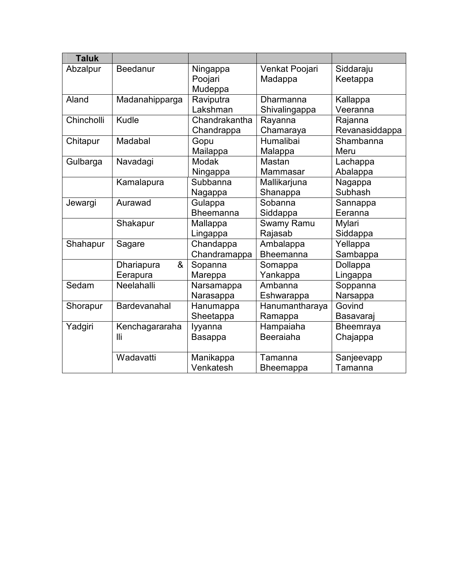| <b>Taluk</b> |                             |                                |                            |                           |
|--------------|-----------------------------|--------------------------------|----------------------------|---------------------------|
| Abzalpur     | Beedanur                    | Ningappa<br>Poojari<br>Mudeppa | Venkat Poojari<br>Madappa  | Siddaraju<br>Keetappa     |
| Aland        | Madanahipparga              | Raviputra<br>Lakshman          | Dharmanna<br>Shivalingappa | Kallappa<br>Veeranna      |
| Chincholli   | Kudle                       | Chandrakantha<br>Chandrappa    | Rayanna<br>Chamaraya       | Rajanna<br>Revanasiddappa |
| Chitapur     | Madabal                     | Gopu<br>Mailappa               | Humalibai<br>Malappa       | Shambanna<br>Meru         |
| Gulbarga     | Navadagi                    | Modak<br>Ningappa              | Mastan<br>Mammasar         | Lachappa<br>Abalappa      |
|              | Kamalapura                  | Subbanna<br>Nagappa            | Mallikarjuna<br>Shanappa   | Nagappa<br>Subhash        |
| Jewargi      | Aurawad                     | Gulappa<br><b>Bheemanna</b>    | Sobanna<br>Siddappa        | Sannappa<br>Eeranna       |
|              | Shakapur                    | Mallappa<br>Lingappa           | Swamy Ramu<br>Rajasab      | Mylari<br>Siddappa        |
| Shahapur     | Sagare                      | Chandappa<br>Chandramappa      | Ambalappa<br>Bheemanna     | Yellappa<br>Sambappa      |
|              | &<br>Dhariapura<br>Eerapura | Sopanna<br>Mareppa             | Somappa<br>Yankappa        | Dollappa<br>Lingappa      |
| Sedam        | Neelahalli                  | Narsamappa<br>Narasappa        | Ambanna<br>Eshwarappa      | Soppanna<br>Narsappa      |
| Shorapur     | Bardevanahal                | Hanumappa<br>Sheetappa         | Hanumantharaya<br>Ramappa  | Govind<br>Basavaraj       |
| Yadgiri      | Kenchagararaha<br>lli       | Iyyanna<br>Basappa             | Hampaiaha<br>Beeraiaha     | Bheemraya<br>Chajappa     |
|              | Wadavatti                   | Manikappa<br>Venkatesh         | Tamanna<br>Bheemappa       | Sanjeevapp<br>Tamanna     |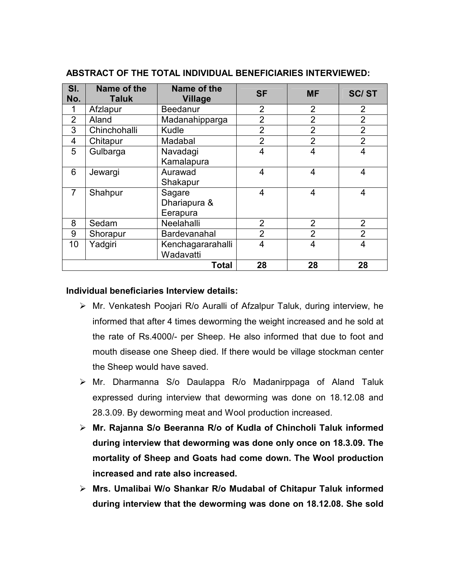| SI.<br>No.     | Name of the<br><b>Taluk</b> | Name of the<br><b>Village</b>      | <b>SF</b>      | <b>MF</b>      | <b>SC/ST</b>   |
|----------------|-----------------------------|------------------------------------|----------------|----------------|----------------|
|                | Afzlapur                    | Beedanur                           | $\overline{2}$ | $\overline{2}$ | $\overline{2}$ |
| $\overline{2}$ | Aland                       | Madanahipparga                     | $\overline{2}$ | $\overline{2}$ | $\overline{2}$ |
| 3              | Chinchohalli                | Kudle                              | $\overline{2}$ | $\overline{2}$ | $\overline{2}$ |
| 4              | Chitapur                    | Madabal                            | $\overline{2}$ | $\overline{2}$ | $\overline{2}$ |
| 5              | Gulbarga                    | Navadagi<br>Kamalapura             | $\overline{4}$ | 4              | 4              |
| 6              | Jewargi                     | Aurawad<br>Shakapur                | 4              | 4              | 4              |
| $\overline{7}$ | Shahpur                     | Sagare<br>Dhariapura &<br>Eerapura | $\overline{4}$ | 4              | 4              |
| 8              | Sedam                       | Neelahalli                         | $\overline{2}$ | 2              | $\overline{2}$ |
| 9              | Shorapur                    | Bardevanahal                       | $\overline{2}$ | $\overline{2}$ | $\overline{2}$ |
| 10             | Yadgiri                     | Kenchagararahalli<br>Wadavatti     | $\overline{4}$ | 4              | 4              |
|                |                             | <b>Total</b>                       | 28             | 28             | 28             |

#### **ABSTRACT OF THE TOTAL INDIVIDUAL BENEFICIARIES INTERVIEWED:**

#### **Individual beneficiaries Interview details:**

- $\triangleright$  Mr. Venkatesh Poojari R/o Auralli of Afzalpur Taluk, during interview, he informed that after 4 times deworming the weight increased and he sold at the rate of Rs.4000/- per Sheep. He also informed that due to foot and mouth disease one Sheep died. If there would be village stockman center the Sheep would have saved.
- Mr. Dharmanna S/o Daulappa R/o Madanirppaga of Aland Taluk expressed during interview that deworming was done on 18.12.08 and 28.3.09. By deworming meat and Wool production increased.
- **Mr. Rajanna S/o Beeranna R/o of Kudla of Chincholi Taluk informed during interview that deworming was done only once on 18.3.09. The mortality of Sheep and Goats had come down. The Wool production increased and rate also increased.**
- **Mrs. Umalibai W/o Shankar R/o Mudabal of Chitapur Taluk informed during interview that the deworming was done on 18.12.08. She sold**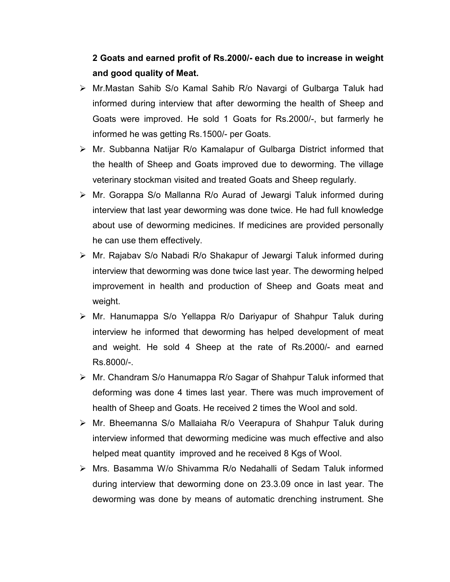## **2 Goats and earned profit of Rs.2000/- each due to increase in weight and good quality of Meat.**

- Mr.Mastan Sahib S/o Kamal Sahib R/o Navargi of Gulbarga Taluk had informed during interview that after deworming the health of Sheep and Goats were improved. He sold 1 Goats for Rs.2000/-, but farmerly he informed he was getting Rs.1500/- per Goats.
- $\triangleright$  Mr. Subbanna Natijar R/o Kamalapur of Gulbarga District informed that the health of Sheep and Goats improved due to deworming. The village veterinary stockman visited and treated Goats and Sheep regularly.
- Mr. Gorappa S/o Mallanna R/o Aurad of Jewargi Taluk informed during interview that last year deworming was done twice. He had full knowledge about use of deworming medicines. If medicines are provided personally he can use them effectively.
- Mr. Rajabav S/o Nabadi R/o Shakapur of Jewargi Taluk informed during interview that deworming was done twice last year. The deworming helped improvement in health and production of Sheep and Goats meat and weight.
- Mr. Hanumappa S/o Yellappa R/o Dariyapur of Shahpur Taluk during interview he informed that deworming has helped development of meat and weight. He sold 4 Sheep at the rate of Rs.2000/- and earned Rs.8000/-.
- Mr. Chandram S/o Hanumappa R/o Sagar of Shahpur Taluk informed that deforming was done 4 times last year. There was much improvement of health of Sheep and Goats. He received 2 times the Wool and sold.
- Mr. Bheemanna S/o Mallaiaha R/o Veerapura of Shahpur Taluk during interview informed that deworming medicine was much effective and also helped meat quantity improved and he received 8 Kgs of Wool.
- Mrs. Basamma W/o Shivamma R/o Nedahalli of Sedam Taluk informed during interview that deworming done on 23.3.09 once in last year. The deworming was done by means of automatic drenching instrument. She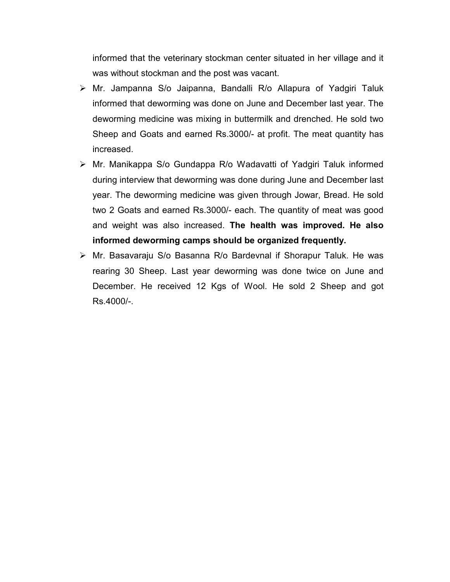informed that the veterinary stockman center situated in her village and it was without stockman and the post was vacant.

- Mr. Jampanna S/o Jaipanna, Bandalli R/o Allapura of Yadgiri Taluk informed that deworming was done on June and December last year. The deworming medicine was mixing in buttermilk and drenched. He sold two Sheep and Goats and earned Rs.3000/- at profit. The meat quantity has increased.
- Mr. Manikappa S/o Gundappa R/o Wadavatti of Yadgiri Taluk informed during interview that deworming was done during June and December last year. The deworming medicine was given through Jowar, Bread. He sold two 2 Goats and earned Rs.3000/- each. The quantity of meat was good and weight was also increased. **The health was improved. He also informed deworming camps should be organized frequently.**
- Mr. Basavaraju S/o Basanna R/o Bardevnal if Shorapur Taluk. He was rearing 30 Sheep. Last year deworming was done twice on June and December. He received 12 Kgs of Wool. He sold 2 Sheep and got Rs.4000/-.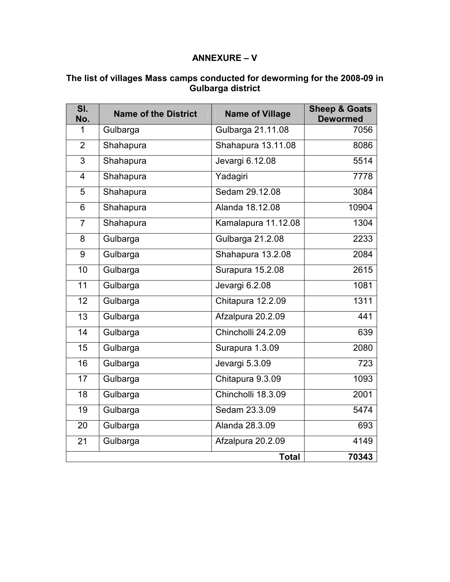## **ANNEXURE – V**

| SI.<br>No.     | <b>Name of the District</b> | <b>Name of Village</b> | <b>Sheep &amp; Goats</b><br><b>Dewormed</b> |
|----------------|-----------------------------|------------------------|---------------------------------------------|
| 1              | Gulbarga                    | Gulbarga 21.11.08      | 7056                                        |
| $\overline{2}$ | Shahapura                   | Shahapura 13.11.08     | 8086                                        |
| 3              | Shahapura                   | Jevargi 6.12.08        | 5514                                        |
| $\overline{4}$ | Shahapura                   | Yadagiri               | 7778                                        |
| 5              | Shahapura                   | Sedam 29.12.08         | 3084                                        |
| 6              | Shahapura                   | Alanda 18.12.08        | 10904                                       |
| $\overline{7}$ | Shahapura                   | Kamalapura 11.12.08    | 1304                                        |
| 8              | Gulbarga                    | Gulbarga 21.2.08       | 2233                                        |
| 9              | Gulbarga                    | Shahapura 13.2.08      | 2084                                        |
| 10             | Gulbarga                    | Surapura 15.2.08       | 2615                                        |
| 11             | Gulbarga                    | Jevargi 6.2.08         | 1081                                        |
| 12             | Gulbarga                    | Chitapura 12.2.09      | 1311                                        |
| 13             | Gulbarga                    | Afzalpura 20.2.09      | 441                                         |
| 14             | Gulbarga                    | Chincholli 24.2.09     | 639                                         |
| 15             | Gulbarga                    | Surapura 1.3.09        | 2080                                        |
| 16             | Gulbarga                    | Jevargi 5.3.09         | 723                                         |
| 17             | Gulbarga                    | Chitapura 9.3.09       | 1093                                        |
| 18             | Gulbarga                    | Chincholli 18.3.09     | 2001                                        |
| 19             | Gulbarga                    | Sedam 23.3.09          | $\frac{1}{5474}$                            |
| 20             | Gulbarga                    | Alanda 28.3.09         | 693                                         |
| 21             | Gulbarga                    | Afzalpura 20.2.09      | 4149                                        |
|                |                             | <b>Total</b>           | 70343                                       |

#### **The list of villages Mass camps conducted for deworming for the 2008-09 in Gulbarga district**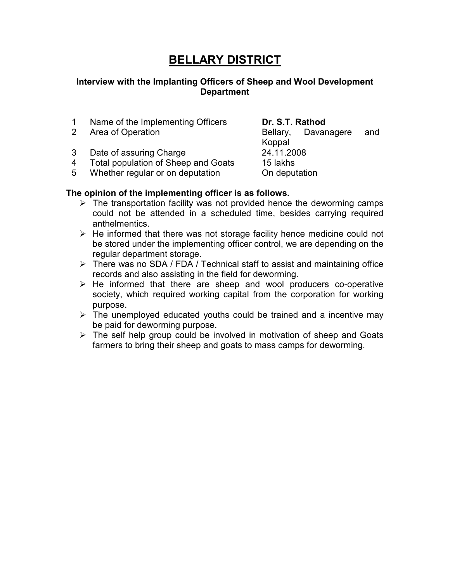# **BELLARY DISTRICT**

#### **Interview with the Implanting Officers of Sheep and Wool Development Department**

- 1 Name of the Implementing Officers **Dr. S.T. Rathod**
- 

3 Date of assuring Charge 24.11.2008

- 4 Total population of Sheep and Goats 15 lakhs
- 5 Whether regular or on deputation **On deputation**

#### **The opinion of the implementing officer is as follows.**

- $\triangleright$  The transportation facility was not provided hence the deworming camps could not be attended in a scheduled time, besides carrying required anthelmentics.
- $\triangleright$  He informed that there was not storage facility hence medicine could not be stored under the implementing officer control, we are depending on the regular department storage.
- $\triangleright$  There was no SDA / FDA / Technical staff to assist and maintaining office records and also assisting in the field for deworming.
- $\triangleright$  He informed that there are sheep and wool producers co-operative society, which required working capital from the corporation for working purpose.
- $\triangleright$  The unemployed educated youths could be trained and a incentive may be paid for deworming purpose.
- $\triangleright$  The self help group could be involved in motivation of sheep and Goats farmers to bring their sheep and goats to mass camps for deworming.

2 Area of Operation **Bellary**, Davanagere and Koppal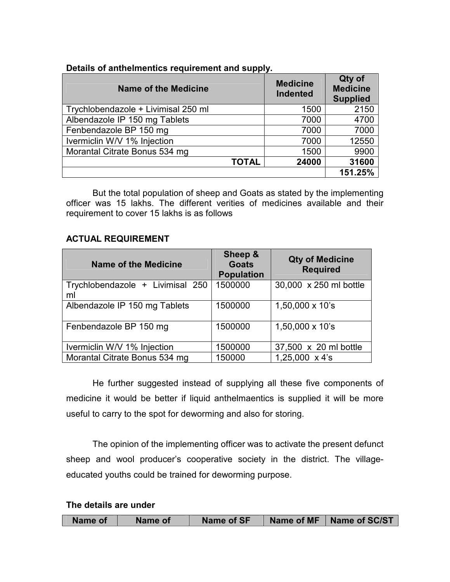| Details of anthelmentics requirement and supply. |  |
|--------------------------------------------------|--|
|                                                  |  |

| <b>Name of the Medicine</b>         | <b>Medicine</b><br><b>Indented</b> | Qty of<br><b>Medicine</b><br><b>Supplied</b> |
|-------------------------------------|------------------------------------|----------------------------------------------|
| Trychlobendazole + Livimisal 250 ml | 1500                               | 2150                                         |
| Albendazole IP 150 mg Tablets       | 7000                               | 4700                                         |
| Fenbendazole BP 150 mg              | 7000                               | 7000                                         |
| Ivermiclin W/V 1% Injection         | 7000                               | 12550                                        |
| Morantal Citrate Bonus 534 mg       | 1500                               | 9900                                         |
| <b>TOTAL</b>                        | 24000                              | 31600                                        |
|                                     |                                    | 151.25%                                      |

But the total population of sheep and Goats as stated by the implementing officer was 15 lakhs. The different verities of medicines available and their requirement to cover 15 lakhs is as follows

#### **ACTUAL REQUIREMENT**

| <b>Name of the Medicine</b>            | Sheep &<br><b>Goats</b><br><b>Population</b> | <b>Qty of Medicine</b><br><b>Required</b> |
|----------------------------------------|----------------------------------------------|-------------------------------------------|
| Trychlobendazole + Livimisal 250<br>ml | 1500000                                      | 30,000 x 250 ml bottle                    |
| Albendazole IP 150 mg Tablets          | 1500000                                      | $1,50,000 \times 10$ 's                   |
| Fenbendazole BP 150 mg                 | 1500000                                      | $1,50,000 \times 10$ 's                   |
| Ivermiclin W/V 1% Injection            | 1500000                                      | 37,500 x 20 ml bottle                     |
| Morantal Citrate Bonus 534 mg          | 150000                                       | $1,25,000 \times 4$ 's                    |

He further suggested instead of supplying all these five components of medicine it would be better if liquid anthelmaentics is supplied it will be more useful to carry to the spot for deworming and also for storing.

The opinion of the implementing officer was to activate the present defunct sheep and wool producer's cooperative society in the district. The villageeducated youths could be trained for deworming purpose.

#### **The details are under**

| Name of<br>Name of | Name of MF<br><b>Name of SF</b> | Name of SC/ST |
|--------------------|---------------------------------|---------------|
|--------------------|---------------------------------|---------------|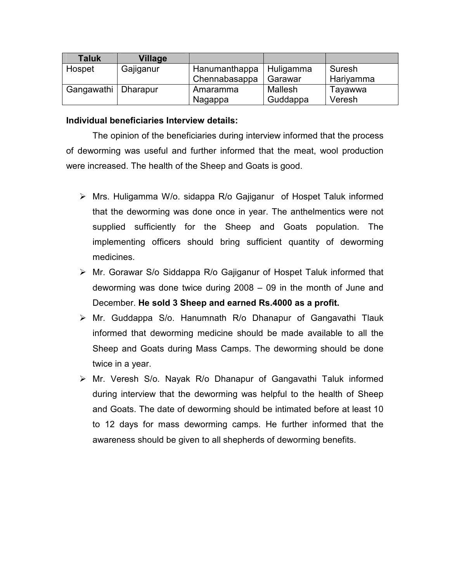| <b>Taluk</b> | Village   |               |           |           |
|--------------|-----------|---------------|-----------|-----------|
| Hospet       | Gajiganur | Hanumanthappa | Huligamma | Suresh    |
|              |           | Chennabasappa | Garawar   | Hariyamma |
| Gangawathi   | Dharapur  | Amaramma      | Mallesh   | Tayawwa   |
|              |           | Nagappa       | Guddappa  | Veresh    |

#### **Individual beneficiaries Interview details:**

The opinion of the beneficiaries during interview informed that the process of deworming was useful and further informed that the meat, wool production were increased. The health of the Sheep and Goats is good.

- Mrs. Huligamma W/o. sidappa R/o Gajiganur of Hospet Taluk informed that the deworming was done once in year. The anthelmentics were not supplied sufficiently for the Sheep and Goats population. The implementing officers should bring sufficient quantity of deworming medicines.
- Mr. Gorawar S/o Siddappa R/o Gajiganur of Hospet Taluk informed that deworming was done twice during 2008 – 09 in the month of June and December. **He sold 3 Sheep and earned Rs.4000 as a profit.**
- $\triangleright$  Mr. Guddappa S/o. Hanumnath R/o Dhanapur of Gangavathi Tlauk informed that deworming medicine should be made available to all the Sheep and Goats during Mass Camps. The deworming should be done twice in a year.
- Mr. Veresh S/o. Nayak R/o Dhanapur of Gangavathi Taluk informed during interview that the deworming was helpful to the health of Sheep and Goats. The date of deworming should be intimated before at least 10 to 12 days for mass deworming camps. He further informed that the awareness should be given to all shepherds of deworming benefits.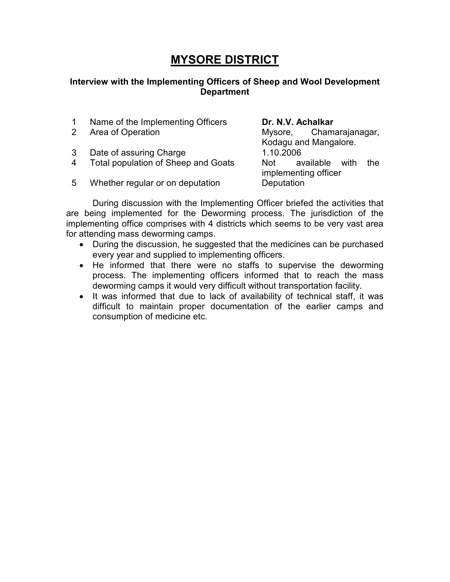# **MYSORE DISTRICT**

#### **Interview with the Implementing Officers of Sheep and Wool Development Department**

- 1 Name of the Implementing Officers **Dr. N.V. Achalkar**
- 
- 3 Date of assuring Charge 1.10.2006
- 4 Total population of Sheep and Goats Not available with the
- 2 Area of Operation **Area Constructs** Mysore, Chamarajanagar, Kodagu and Mangalore. implementing officer
- 5 Whether regular or on deputation Deputation

During discussion with the Implementing Officer briefed the activities that are being implemented for the Deworming process. The jurisdiction of the implementing office comprises with 4 districts which seems to be very vast area for attending mass deworming camps.

- During the discussion, he suggested that the medicines can be purchased every year and supplied to implementing officers.
- He informed that there were no staffs to supervise the deworming process. The implementing officers informed that to reach the mass deworming camps it would very difficult without transportation facility.
- It was informed that due to lack of availability of technical staff, it was difficult to maintain proper documentation of the earlier camps and consumption of medicine etc.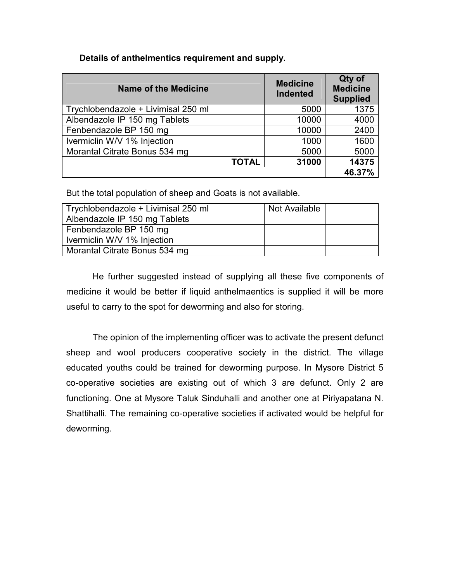#### **Details of anthelmentics requirement and supply.**

| <b>Name of the Medicine</b>         | <b>Medicine</b><br><b>Indented</b> | Qty of<br><b>Medicine</b><br><b>Supplied</b> |
|-------------------------------------|------------------------------------|----------------------------------------------|
| Trychlobendazole + Livimisal 250 ml | 5000                               | 1375                                         |
| Albendazole IP 150 mg Tablets       | 10000                              | 4000                                         |
| Fenbendazole BP 150 mg              | 10000                              | 2400                                         |
| Ivermiclin W/V 1% Injection         | 1000                               | 1600                                         |
| Morantal Citrate Bonus 534 mg       | 5000                               | 5000                                         |
| <b>TOTAL</b>                        | 31000                              | 14375                                        |
|                                     |                                    | 46.37%                                       |

But the total population of sheep and Goats is not available.

| Trychlobendazole + Livimisal 250 ml | Not Available |  |
|-------------------------------------|---------------|--|
| Albendazole IP 150 mg Tablets       |               |  |
| Fenbendazole BP 150 mg              |               |  |
| Ivermiclin W/V 1% Injection         |               |  |
| Morantal Citrate Bonus 534 mg       |               |  |

He further suggested instead of supplying all these five components of medicine it would be better if liquid anthelmaentics is supplied it will be more useful to carry to the spot for deworming and also for storing.

The opinion of the implementing officer was to activate the present defunct sheep and wool producers cooperative society in the district. The village educated youths could be trained for deworming purpose. In Mysore District 5 co-operative societies are existing out of which 3 are defunct. Only 2 are functioning. One at Mysore Taluk Sinduhalli and another one at Piriyapatana N. Shattihalli. The remaining co-operative societies if activated would be helpful for deworming.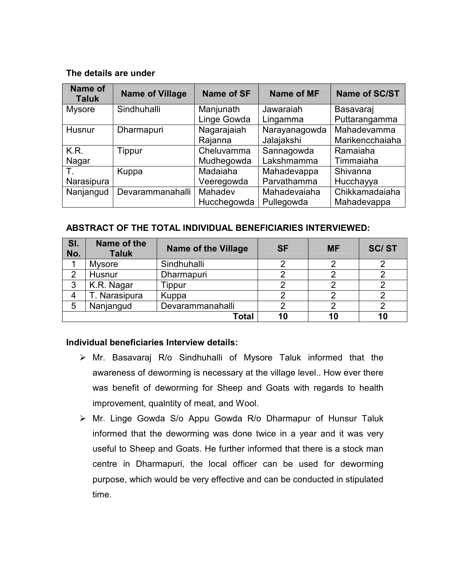#### **The details are under**

| Name of<br><b>Taluk</b> | <b>Name of Village</b> | <b>Name of SF</b> | Name of MF    | Name of SC/ST   |
|-------------------------|------------------------|-------------------|---------------|-----------------|
| <b>Mysore</b>           | Sindhuhalli            | Manjunath         | Jawaraiah     | Basavaraj       |
|                         |                        | Linge Gowda       | Lingamma      | Puttarangamma   |
| Husnur                  | Dharmapuri             | Nagarajaiah       | Narayanagowda | Mahadevamma     |
|                         |                        | Rajanna           | Jalajakshi    | Marikencchaiaha |
| K.R.                    | Tippur                 | Cheluvamma        | Sannagowda    | Ramaiaha        |
| Nagar                   |                        | Mudhegowda        | Lakshmamma    | Timmaiaha       |
| Τ.                      | Kuppa                  | Madaiaha          | Mahadevappa   | Shivanna        |
| Narasipura              |                        | Veeregowda        | Parvathamma   | Hucchayya       |
| Nanjangud               | Devarammanahalli       | Mahadev           | Mahadevaiaha  | Chikkamadaiaha  |
|                         |                        | Hucchegowda       | Pullegowda    | Mahadevappa     |

#### **ABSTRACT OF THE TOTAL INDIVIDUAL BENEFICIARIES INTERVIEWED:**

| SI.<br>No. | Name of the<br><b>Taluk</b> | <b>Name of the Village</b> | <b>SF</b> | <b>MF</b> | <b>SC/ST</b> |
|------------|-----------------------------|----------------------------|-----------|-----------|--------------|
|            | <b>Mysore</b>               | Sindhuhalli                |           |           |              |
|            | Husnur                      | Dharmapuri                 |           |           |              |
| 3          | K.R. Nagar                  | Tippur                     |           |           |              |
| 4          | . Narasipura                | Kuppa                      |           |           |              |
| 5          | Nanjangud                   | Devarammanahalli           |           |           |              |
|            |                             | Total                      | 10        | 10        | 10           |

#### **Individual beneficiaries Interview details:**

- $\triangleright$  Mr. Basavaraj R/o Sindhuhalli of Mysore Taluk informed that the awareness of deworming is necessary at the village level.. How ever there was benefit of deworming for Sheep and Goats with regards to health improvement, qualntity of meat, and Wool.
- Mr. Linge Gowda S/o Appu Gowda R/o Dharmapur of Hunsur Taluk informed that the deworming was done twice in a year and it was very useful to Sheep and Goats. He further informed that there is a stock man centre in Dharmapuri, the local officer can be used for deworming purpose, which would be very effective and can be conducted in stipulated time.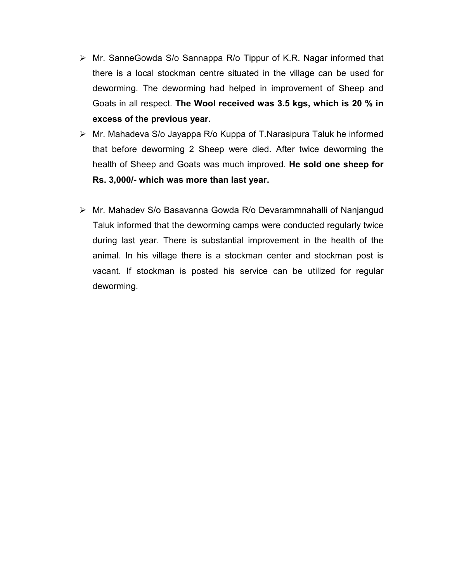- Mr. SanneGowda S/o Sannappa R/o Tippur of K.R. Nagar informed that there is a local stockman centre situated in the village can be used for deworming. The deworming had helped in improvement of Sheep and Goats in all respect. **The Wool received was 3.5 kgs, which is 20 % in excess of the previous year.**
- $\triangleright$  Mr. Mahadeva S/o Jayappa R/o Kuppa of T. Narasipura Taluk he informed that before deworming 2 Sheep were died. After twice deworming the health of Sheep and Goats was much improved. **He sold one sheep for Rs. 3,000/- which was more than last year.**
- Mr. Mahadev S/o Basavanna Gowda R/o Devarammnahalli of Nanjangud Taluk informed that the deworming camps were conducted regularly twice during last year. There is substantial improvement in the health of the animal. In his village there is a stockman center and stockman post is vacant. If stockman is posted his service can be utilized for regular deworming.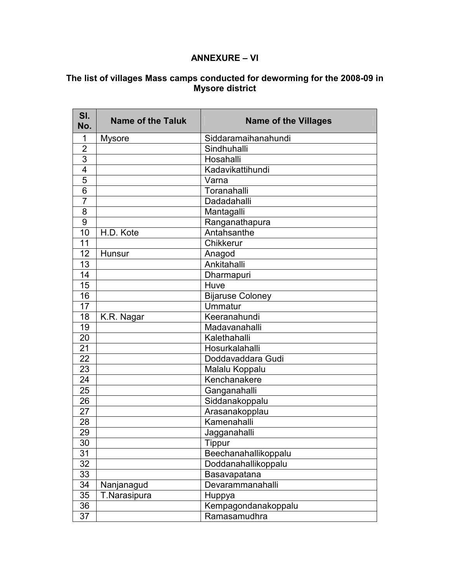#### **ANNEXURE – VI**

#### **The list of villages Mass camps conducted for deworming for the 2008-09 in Mysore district**

| SI.<br>No.      | <b>Name of the Taluk</b> | <b>Name of the Villages</b> |
|-----------------|--------------------------|-----------------------------|
| 1               | <b>Mysore</b>            | Siddaramaihanahundi         |
| $\overline{2}$  |                          | Sindhuhalli                 |
| 3               |                          | Hosahalli                   |
| $\overline{4}$  |                          | Kadavikattihundi            |
| 5               |                          | Varna                       |
| $6\phantom{1}6$ |                          | Toranahalli                 |
| $\overline{7}$  |                          | Dadadahalli                 |
| 8               |                          | Mantagalli                  |
| 9               |                          | Ranganathapura              |
| 10              | H.D. Kote                | Antahsanthe                 |
| 11              |                          | Chikkerur                   |
| 12              | Hunsur                   | Anagod                      |
| 13              |                          | Ankitahalli                 |
| 14              |                          | Dharmapuri                  |
| 15              |                          | Huve                        |
| 16              |                          | <b>Bijaruse Coloney</b>     |
| 17              |                          | <b>Ummatur</b>              |
| 18              | K.R. Nagar               | Keeranahundi                |
| 19              |                          | Madavanahalli               |
| 20              |                          | Kalethahalli                |
| 21              |                          | Hosurkalahalli              |
| 22              |                          | Doddavaddara Gudi           |
| 23              |                          | Malalu Koppalu              |
| 24              |                          | Kenchanakere                |
| 25              |                          | Ganganahalli                |
| 26              |                          | Siddanakoppalu              |
| 27              |                          | Arasanakopplau              |
| 28              |                          | Kamenahalli                 |
| 29              |                          | Jagganahalli                |
| 30              |                          | Tippur                      |
| 31              |                          | Beechanahallikoppalu        |
| 32              |                          | Doddanahallikoppalu         |
| 33              |                          | Basavapatana                |
| 34              | Nanjanagud               | Devarammanahalli            |
| 35              | T.Narasipura             | Huppya                      |
| 36              |                          | Kempagondanakoppalu         |
| 37              |                          | Ramasamudhra                |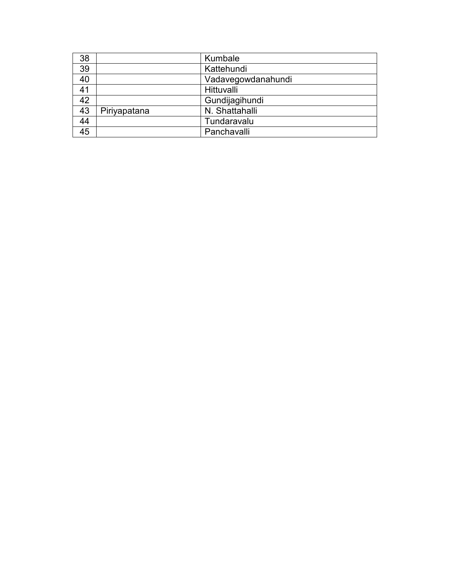| 38 |              | Kumbale            |
|----|--------------|--------------------|
| 39 |              | Kattehundi         |
| 40 |              | Vadavegowdanahundi |
| 41 |              | Hittuvalli         |
| 42 |              | Gundijagihundi     |
| 43 | Piriyapatana | N. Shattahalli     |
| 44 |              | Tundaravalu        |
| 45 |              | Panchavalli        |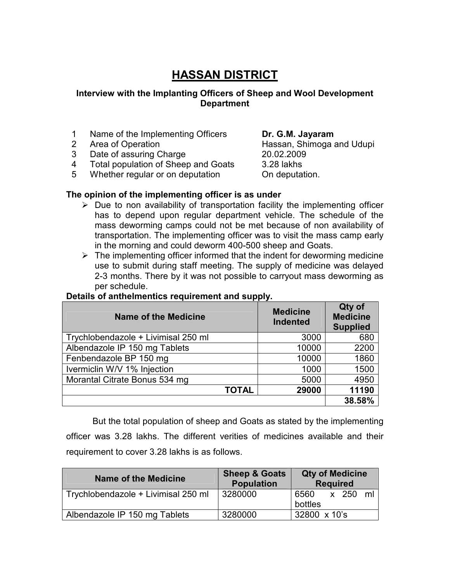# **HASSAN DISTRICT**

#### **Interview with the Implanting Officers of Sheep and Wool Development Department**

- 1 Name of the Implementing Officers **Dr. G.M. Jayaram**
- 
- 3 Date of assuring Charge 20.02.2009
- 4 Total population of Sheep and Goats 3.28 lakhs
- 5 Whether regular or on deputation **On deputation**.

2 Area of Operation **Area of Operation** 2 Area of Operation

#### **The opinion of the implementing officer is as under**

- $\triangleright$  Due to non availability of transportation facility the implementing officer has to depend upon regular department vehicle. The schedule of the mass deworming camps could not be met because of non availability of transportation. The implementing officer was to visit the mass camp early in the morning and could deworm 400-500 sheep and Goats.
- $\triangleright$  The implementing officer informed that the indent for deworming medicine use to submit during staff meeting. The supply of medicine was delayed 2-3 months. There by it was not possible to carryout mass deworming as per schedule.

| <b>Name of the Medicine</b>         | <b>Medicine</b><br><b>Indented</b> | Qty of<br><b>Medicine</b><br><b>Supplied</b> |
|-------------------------------------|------------------------------------|----------------------------------------------|
| Trychlobendazole + Livimisal 250 ml | 3000                               | 680                                          |
| Albendazole IP 150 mg Tablets       | 10000                              | 2200                                         |
| Fenbendazole BP 150 mg              | 10000                              | 1860                                         |
| Ivermiclin W/V 1% Injection         | 1000                               | 1500                                         |
| Morantal Citrate Bonus 534 mg       | 5000                               | 4950                                         |
| <b>TOTAL</b>                        | 29000                              | 11190                                        |
|                                     |                                    | 38.58%                                       |

#### **Details of anthelmentics requirement and supply.**

But the total population of sheep and Goats as stated by the implementing officer was 3.28 lakhs. The different verities of medicines available and their requirement to cover 3.28 lakhs is as follows.

| Name of the Medicine                | <b>Sheep &amp; Goats</b><br><b>Population</b> | <b>Qty of Medicine</b><br><b>Required</b> |
|-------------------------------------|-----------------------------------------------|-------------------------------------------|
| Trychlobendazole + Livimisal 250 ml | 3280000                                       | x 250<br>6560<br>ml<br>bottles            |
| Albendazole IP 150 mg Tablets       | 3280000                                       | 32800 x 10's                              |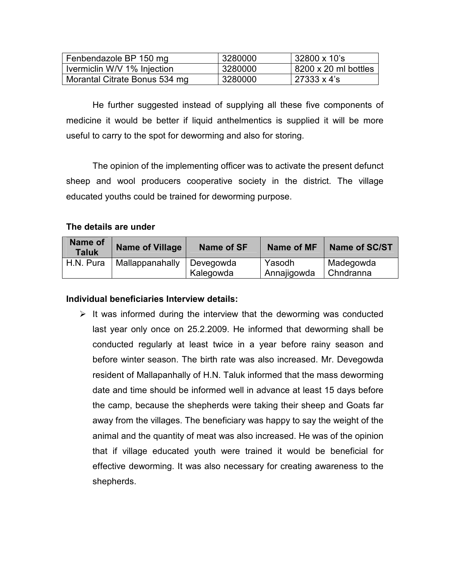| Fenbendazole BP 150 mg        | 3280000 | 32800 x 10's         |
|-------------------------------|---------|----------------------|
| Ivermiclin W/V 1% Injection   | 3280000 | 8200 x 20 ml bottles |
| Morantal Citrate Bonus 534 mg | 3280000 | l 27333 x 4's        |

He further suggested instead of supplying all these five components of medicine it would be better if liquid anthelmentics is supplied it will be more useful to carry to the spot for deworming and also for storing.

The opinion of the implementing officer was to activate the present defunct sheep and wool producers cooperative society in the district. The village educated youths could be trained for deworming purpose.

#### **The details are under**

| <b>Name of</b><br><b>Taluk</b> | Name of Village | Name of SF             | Name of MF            | <b>Name of SC/ST</b>     |
|--------------------------------|-----------------|------------------------|-----------------------|--------------------------|
| H.N. Pura                      | Mallappanahally | Devegowda<br>Kalegowda | Yasodh<br>Annajigowda | Madegowda<br>l Chndranna |

#### **Individual beneficiaries Interview details:**

 $\triangleright$  It was informed during the interview that the deworming was conducted last year only once on 25.2.2009. He informed that deworming shall be conducted regularly at least twice in a year before rainy season and before winter season. The birth rate was also increased. Mr. Devegowda resident of Mallapanhally of H.N. Taluk informed that the mass deworming date and time should be informed well in advance at least 15 days before the camp, because the shepherds were taking their sheep and Goats far away from the villages. The beneficiary was happy to say the weight of the animal and the quantity of meat was also increased. He was of the opinion that if village educated youth were trained it would be beneficial for effective deworming. It was also necessary for creating awareness to the shepherds.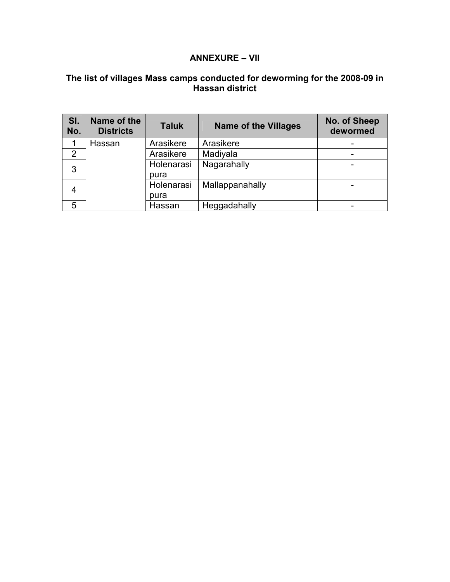#### **ANNEXURE – VII**

#### **The list of villages Mass camps conducted for deworming for the 2008-09 in Hassan district**

| SI.<br>No. | Name of the<br><b>Districts</b> | <b>Taluk</b> | <b>Name of the Villages</b> | No. of Sheep<br>dewormed |
|------------|---------------------------------|--------------|-----------------------------|--------------------------|
|            | Hassan                          | Arasikere    | Arasikere                   |                          |
| 2          |                                 | Arasikere    | Madiyala                    |                          |
| 3          |                                 | Holenarasi   | Nagarahally                 |                          |
|            |                                 | pura         |                             |                          |
| 4          |                                 | Holenarasi   | Mallappanahally             |                          |
|            |                                 | pura         |                             |                          |
| 5          |                                 | Hassan       | Heggadahally                |                          |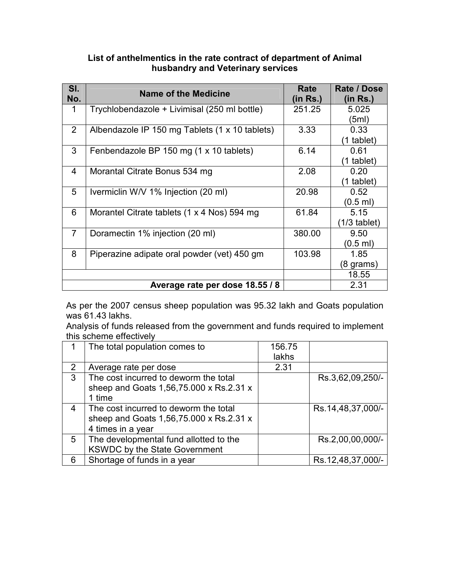| List of anthelmentics in the rate contract of department of Animal |
|--------------------------------------------------------------------|
| husbandry and Veterinary services                                  |

| SI.            | Name of the Medicine                           | Rate     | Rate / Dose         |
|----------------|------------------------------------------------|----------|---------------------|
| No.            |                                                | (in Rs.) | (in Rs.)            |
| 1              | Trychlobendazole + Livimisal (250 ml bottle)   | 251.25   | 5.025               |
|                |                                                |          | (5ml)               |
| 2              | Albendazole IP 150 mg Tablets (1 x 10 tablets) | 3.33     | 0.33                |
|                |                                                |          | (1 tablet)          |
| 3              | Fenbendazole BP 150 mg (1 x 10 tablets)        | 6.14     | 0.61                |
|                |                                                |          | (1 tablet)          |
| 4              | Morantal Citrate Bonus 534 mg                  | 2.08     | 0.20                |
|                |                                                |          | (1 tablet)          |
| 5              | Ivermiclin W/V 1% Injection (20 ml)            | 20.98    | 0.52                |
|                |                                                |          | $(0.5$ ml)          |
| 6              | Morantel Citrate tablets (1 x 4 Nos) 594 mg    | 61.84    | 5.15                |
|                |                                                |          | $(1/3$ tablet)      |
| $\overline{7}$ | Doramectin 1% injection (20 ml)                | 380.00   | 9.50                |
|                |                                                |          | $(0.5 \text{ ml})$  |
| 8              | Piperazine adipate oral powder (vet) 450 gm    | 103.98   | 1.85                |
|                |                                                |          | $(8 \text{ grams})$ |
|                |                                                |          | 18.55               |
|                | Average rate per dose 18.55 / 8                |          | 2.31                |

As per the 2007 census sheep population was 95.32 lakh and Goats population was 61.43 lakhs.

Analysis of funds released from the government and funds required to implement this scheme effectively

|              | The total population comes to           | 156.75 |                   |
|--------------|-----------------------------------------|--------|-------------------|
|              |                                         | lakhs  |                   |
| 2            | Average rate per dose                   | 2.31   |                   |
| $\mathbf{3}$ | The cost incurred to deworm the total   |        | Rs.3,62,09,250/-  |
|              | sheep and Goats 1,56,75.000 x Rs.2.31 x |        |                   |
|              | 1 time                                  |        |                   |
| 4            | The cost incurred to deworm the total   |        | Rs.14,48,37,000/- |
|              | sheep and Goats 1,56,75.000 x Rs.2.31 x |        |                   |
|              | 4 times in a year                       |        |                   |
| 5            | The developmental fund allotted to the  |        | Rs.2,00,00,000/-  |
|              | <b>KSWDC by the State Government</b>    |        |                   |
| 6            | Shortage of funds in a year             |        | Rs.12,48,37,000/- |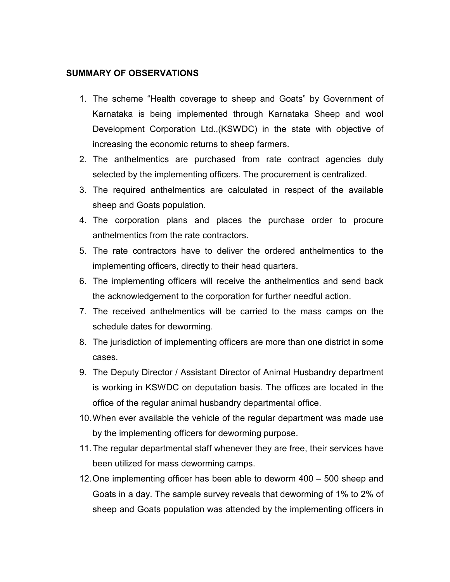## **SUMMARY OF OBSERVATIONS**

- 1. The scheme "Health coverage to sheep and Goats" by Government of Karnataka is being implemented through Karnataka Sheep and wool Development Corporation Ltd.,(KSWDC) in the state with objective of increasing the economic returns to sheep farmers.
- 2. The anthelmentics are purchased from rate contract agencies duly selected by the implementing officers. The procurement is centralized.
- 3. The required anthelmentics are calculated in respect of the available sheep and Goats population.
- 4. The corporation plans and places the purchase order to procure anthelmentics from the rate contractors.
- 5. The rate contractors have to deliver the ordered anthelmentics to the implementing officers, directly to their head quarters.
- 6. The implementing officers will receive the anthelmentics and send back the acknowledgement to the corporation for further needful action.
- 7. The received anthelmentics will be carried to the mass camps on the schedule dates for deworming.
- 8. The jurisdiction of implementing officers are more than one district in some cases.
- 9. The Deputy Director / Assistant Director of Animal Husbandry department is working in KSWDC on deputation basis. The offices are located in the office of the regular animal husbandry departmental office.
- 10. When ever available the vehicle of the regular department was made use by the implementing officers for deworming purpose.
- 11. The regular departmental staff whenever they are free, their services have been utilized for mass deworming camps.
- 12. One implementing officer has been able to deworm 400 500 sheep and Goats in a day. The sample survey reveals that deworming of 1% to 2% of sheep and Goats population was attended by the implementing officers in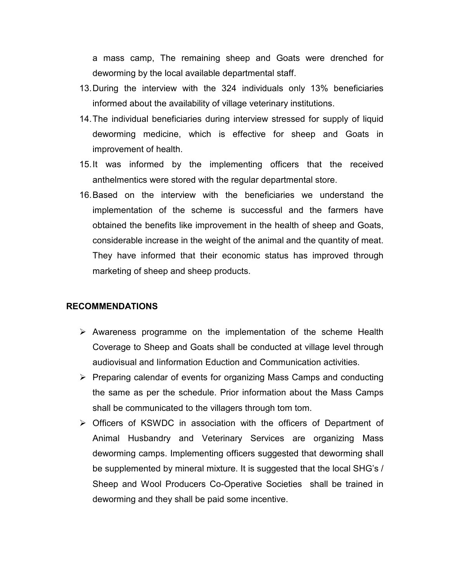a mass camp, The remaining sheep and Goats were drenched for deworming by the local available departmental staff.

- 13. During the interview with the 324 individuals only 13% beneficiaries informed about the availability of village veterinary institutions.
- 14. The individual beneficiaries during interview stressed for supply of liquid deworming medicine, which is effective for sheep and Goats in improvement of health.
- 15. It was informed by the implementing officers that the received anthelmentics were stored with the regular departmental store.
- 16. Based on the interview with the beneficiaries we understand the implementation of the scheme is successful and the farmers have obtained the benefits like improvement in the health of sheep and Goats, considerable increase in the weight of the animal and the quantity of meat. They have informed that their economic status has improved through marketing of sheep and sheep products.

## **RECOMMENDATIONS**

- $\triangleright$  Awareness programme on the implementation of the scheme Health Coverage to Sheep and Goats shall be conducted at village level through audiovisual and Iinformation Eduction and Communication activities.
- $\triangleright$  Preparing calendar of events for organizing Mass Camps and conducting the same as per the schedule. Prior information about the Mass Camps shall be communicated to the villagers through tom tom.
- $\triangleright$  Officers of KSWDC in association with the officers of Department of Animal Husbandry and Veterinary Services are organizing Mass deworming camps. Implementing officers suggested that deworming shall be supplemented by mineral mixture. It is suggested that the local SHG's / Sheep and Wool Producers Co-Operative Societies shall be trained in deworming and they shall be paid some incentive.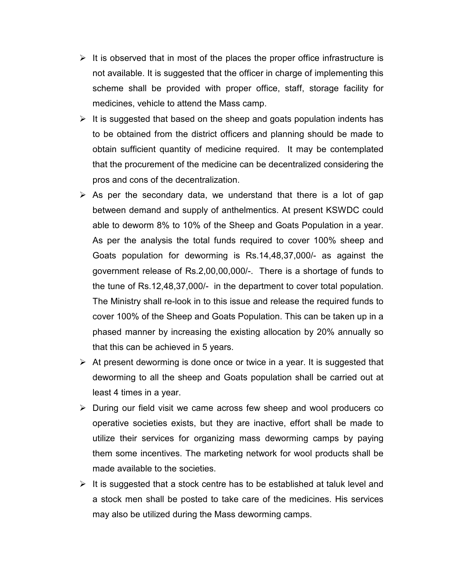- $\triangleright$  It is observed that in most of the places the proper office infrastructure is not available. It is suggested that the officer in charge of implementing this scheme shall be provided with proper office, staff, storage facility for medicines, vehicle to attend the Mass camp.
- $\triangleright$  It is suggested that based on the sheep and goats population indents has to be obtained from the district officers and planning should be made to obtain sufficient quantity of medicine required. It may be contemplated that the procurement of the medicine can be decentralized considering the pros and cons of the decentralization.
- $\triangleright$  As per the secondary data, we understand that there is a lot of gap between demand and supply of anthelmentics. At present KSWDC could able to deworm 8% to 10% of the Sheep and Goats Population in a year. As per the analysis the total funds required to cover 100% sheep and Goats population for deworming is Rs.14,48,37,000/- as against the government release of Rs.2,00,00,000/-. There is a shortage of funds to the tune of Rs.12,48,37,000/- in the department to cover total population. The Ministry shall re-look in to this issue and release the required funds to cover 100% of the Sheep and Goats Population. This can be taken up in a phased manner by increasing the existing allocation by 20% annually so that this can be achieved in 5 years.
- $\triangleright$  At present deworming is done once or twice in a year. It is suggested that deworming to all the sheep and Goats population shall be carried out at least 4 times in a year.
- $\triangleright$  During our field visit we came across few sheep and wool producers co operative societies exists, but they are inactive, effort shall be made to utilize their services for organizing mass deworming camps by paying them some incentives. The marketing network for wool products shall be made available to the societies.
- $\triangleright$  It is suggested that a stock centre has to be established at taluk level and a stock men shall be posted to take care of the medicines. His services may also be utilized during the Mass deworming camps.